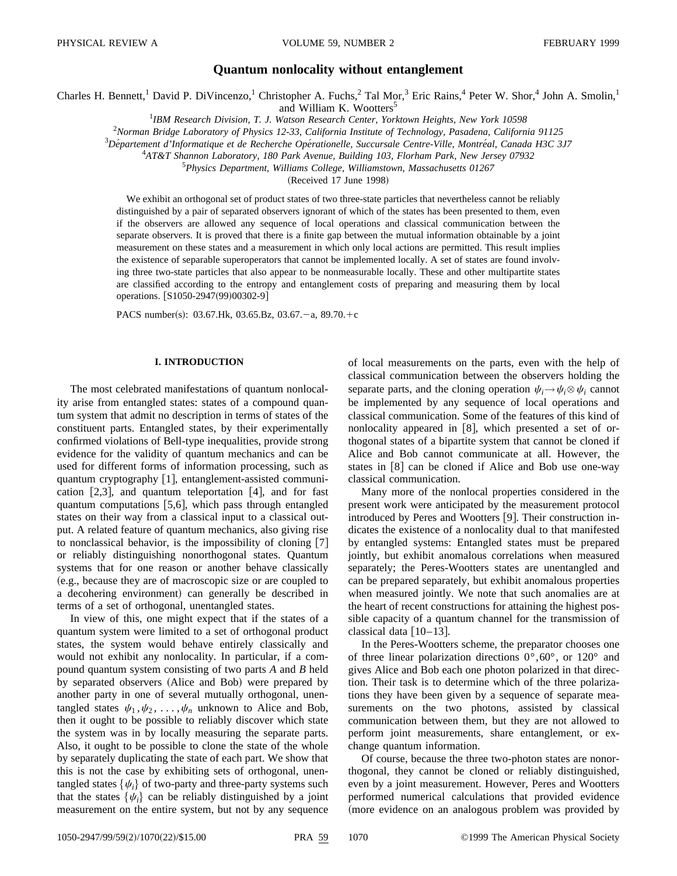## **Quantum nonlocality without entanglement**

Charles H. Bennett,<sup>1</sup> David P. DiVincenzo,<sup>1</sup> Christopher A. Fuchs,<sup>2</sup> Tal Mor,<sup>3</sup> Eric Rains,<sup>4</sup> Peter W. Shor,<sup>4</sup> John A. Smolin,<sup>1</sup>

and William K. Wootters<sup>5</sup>

1 *IBM Research Division, T. J. Watson Research Center, Yorktown Heights, New York 10598*

2 *Norman Bridge Laboratory of Physics 12-33, California Institute of Technology, Pasadena, California 91125*

<sup>3</sup> Département d'Informatique et de Recherche Opérationelle, Succursale Centre-Ville, Montréal, Canada H3C 3J7

4 *AT&T Shannon Laboratory, 180 Park Avenue, Building 103, Florham Park, New Jersey 07932*

5 *Physics Department, Williams College, Williamstown, Massachusetts 01267*

 $(Received 17 June 1998)$ 

We exhibit an orthogonal set of product states of two three-state particles that nevertheless cannot be reliably distinguished by a pair of separated observers ignorant of which of the states has been presented to them, even if the observers are allowed any sequence of local operations and classical communication between the separate observers. It is proved that there is a finite gap between the mutual information obtainable by a joint measurement on these states and a measurement in which only local actions are permitted. This result implies the existence of separable superoperators that cannot be implemented locally. A set of states are found involving three two-state particles that also appear to be nonmeasurable locally. These and other multipartite states are classified according to the entropy and entanglement costs of preparing and measuring them by local operations. [S1050-2947(99)00302-9]

PACS number(s): 03.67.Hk, 03.65.Bz, 03.67. $-a$ , 89.70. $+c$ 

### **I. INTRODUCTION**

The most celebrated manifestations of quantum nonlocality arise from entangled states: states of a compound quantum system that admit no description in terms of states of the constituent parts. Entangled states, by their experimentally confirmed violations of Bell-type inequalities, provide strong evidence for the validity of quantum mechanics and can be used for different forms of information processing, such as quantum cryptography [1], entanglement-assisted communication  $[2,3]$ , and quantum teleportation  $[4]$ , and for fast quantum computations  $[5,6]$ , which pass through entangled states on their way from a classical input to a classical output. A related feature of quantum mechanics, also giving rise to nonclassical behavior, is the impossibility of cloning  $[7]$ or reliably distinguishing nonorthogonal states. Quantum systems that for one reason or another behave classically (e.g., because they are of macroscopic size or are coupled to a decohering environment) can generally be described in terms of a set of orthogonal, unentangled states.

In view of this, one might expect that if the states of a quantum system were limited to a set of orthogonal product states, the system would behave entirely classically and would not exhibit any nonlocality. In particular, if a compound quantum system consisting of two parts *A* and *B* held by separated observers (Alice and Bob) were prepared by another party in one of several mutually orthogonal, unentangled states  $\psi_1, \psi_2, \ldots, \psi_n$  unknown to Alice and Bob, then it ought to be possible to reliably discover which state the system was in by locally measuring the separate parts. Also, it ought to be possible to clone the state of the whole by separately duplicating the state of each part. We show that this is not the case by exhibiting sets of orthogonal, unentangled states  $\{\psi_i\}$  of two-party and three-party systems such that the states  $\{\psi_i\}$  can be reliably distinguished by a joint measurement on the entire system, but not by any sequence of local measurements on the parts, even with the help of classical communication between the observers holding the separate parts, and the cloning operation  $\psi_i \rightarrow \psi_i \otimes \psi_i$  cannot be implemented by any sequence of local operations and classical communication. Some of the features of this kind of nonlocality appeared in  $[8]$ , which presented a set of orthogonal states of a bipartite system that cannot be cloned if Alice and Bob cannot communicate at all. However, the states in  $[8]$  can be cloned if Alice and Bob use one-way classical communication.

Many more of the nonlocal properties considered in the present work were anticipated by the measurement protocol introduced by Peres and Wootters  $[9]$ . Their construction indicates the existence of a nonlocality dual to that manifested by entangled systems: Entangled states must be prepared jointly, but exhibit anomalous correlations when measured separately; the Peres-Wootters states are unentangled and can be prepared separately, but exhibit anomalous properties when measured jointly. We note that such anomalies are at the heart of recent constructions for attaining the highest possible capacity of a quantum channel for the transmission of classical data  $[10-13]$ .

In the Peres-Wootters scheme, the preparator chooses one of three linear polarization directions 0°,60°, or 120° and gives Alice and Bob each one photon polarized in that direction. Their task is to determine which of the three polarizations they have been given by a sequence of separate measurements on the two photons, assisted by classical communication between them, but they are not allowed to perform joint measurements, share entanglement, or exchange quantum information.

Of course, because the three two-photon states are nonorthogonal, they cannot be cloned or reliably distinguished, even by a joint measurement. However, Peres and Wootters performed numerical calculations that provided evidence (more evidence on an analogous problem was provided by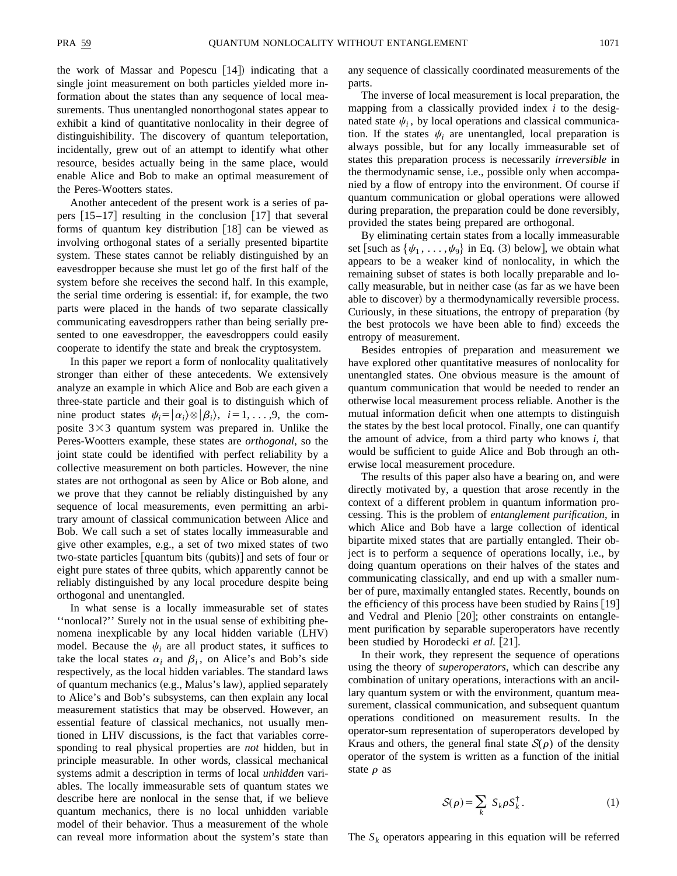the work of Massar and Popescu  $[14]$  indicating that a single joint measurement on both particles yielded more information about the states than any sequence of local measurements. Thus unentangled nonorthogonal states appear to exhibit a kind of quantitative nonlocality in their degree of distinguishibility. The discovery of quantum teleportation, incidentally, grew out of an attempt to identify what other resource, besides actually being in the same place, would enable Alice and Bob to make an optimal measurement of the Peres-Wootters states.

Another antecedent of the present work is a series of papers  $[15-17]$  resulting in the conclusion  $[17]$  that several forms of quantum key distribution  $[18]$  can be viewed as involving orthogonal states of a serially presented bipartite system. These states cannot be reliably distinguished by an eavesdropper because she must let go of the first half of the system before she receives the second half. In this example, the serial time ordering is essential: if, for example, the two parts were placed in the hands of two separate classically communicating eavesdroppers rather than being serially presented to one eavesdropper, the eavesdroppers could easily cooperate to identify the state and break the cryptosystem.

In this paper we report a form of nonlocality qualitatively stronger than either of these antecedents. We extensively analyze an example in which Alice and Bob are each given a three-state particle and their goal is to distinguish which of nine product states  $\psi_i = |\alpha_i\rangle \otimes |\beta_i\rangle$ ,  $i = 1, \dots, 9$ , the composite  $3\times3$  quantum system was prepared in. Unlike the Peres-Wootters example, these states are *orthogonal*, so the joint state could be identified with perfect reliability by a collective measurement on both particles. However, the nine states are not orthogonal as seen by Alice or Bob alone, and we prove that they cannot be reliably distinguished by any sequence of local measurements, even permitting an arbitrary amount of classical communication between Alice and Bob. We call such a set of states locally immeasurable and give other examples, e.g., a set of two mixed states of two two-state particles [quantum bits (qubits)] and sets of four or eight pure states of three qubits, which apparently cannot be reliably distinguished by any local procedure despite being orthogonal and unentangled.

In what sense is a locally immeasurable set of states ''nonlocal?'' Surely not in the usual sense of exhibiting phenomena inexplicable by any local hidden variable (LHV) model. Because the  $\psi_i$  are all product states, it suffices to take the local states  $\alpha_i$  and  $\beta_i$ , on Alice's and Bob's side respectively, as the local hidden variables. The standard laws of quantum mechanics (e.g., Malus's law), applied separately to Alice's and Bob's subsystems, can then explain any local measurement statistics that may be observed. However, an essential feature of classical mechanics, not usually mentioned in LHV discussions, is the fact that variables corresponding to real physical properties are *not* hidden, but in principle measurable. In other words, classical mechanical systems admit a description in terms of local *unhidden* variables. The locally immeasurable sets of quantum states we describe here are nonlocal in the sense that, if we believe quantum mechanics, there is no local unhidden variable model of their behavior. Thus a measurement of the whole can reveal more information about the system's state than any sequence of classically coordinated measurements of the parts.

The inverse of local measurement is local preparation, the mapping from a classically provided index *i* to the designated state  $\psi_i$ , by local operations and classical communication. If the states  $\psi_i$  are unentangled, local preparation is always possible, but for any locally immeasurable set of states this preparation process is necessarily *irreversible* in the thermodynamic sense, i.e., possible only when accompanied by a flow of entropy into the environment. Of course if quantum communication or global operations were allowed during preparation, the preparation could be done reversibly, provided the states being prepared are orthogonal.

By eliminating certain states from a locally immeasurable set [such as  $\{\psi_1, \ldots, \psi_9\}$  in Eq. (3) below], we obtain what appears to be a weaker kind of nonlocality, in which the remaining subset of states is both locally preparable and locally measurable, but in neither case (as far as we have been able to discover) by a thermodynamically reversible process. Curiously, in these situations, the entropy of preparation (by the best protocols we have been able to find) exceeds the entropy of measurement.

Besides entropies of preparation and measurement we have explored other quantitative measures of nonlocality for unentangled states. One obvious measure is the amount of quantum communication that would be needed to render an otherwise local measurement process reliable. Another is the mutual information deficit when one attempts to distinguish the states by the best local protocol. Finally, one can quantify the amount of advice, from a third party who knows *i*, that would be sufficient to guide Alice and Bob through an otherwise local measurement procedure.

The results of this paper also have a bearing on, and were directly motivated by, a question that arose recently in the context of a different problem in quantum information processing. This is the problem of *entanglement purification*, in which Alice and Bob have a large collection of identical bipartite mixed states that are partially entangled. Their object is to perform a sequence of operations locally, i.e., by doing quantum operations on their halves of the states and communicating classically, and end up with a smaller number of pure, maximally entangled states. Recently, bounds on the efficiency of this process have been studied by Rains  $[19]$ and Vedral and Plenio [20]; other constraints on entanglement purification by separable superoperators have recently been studied by Horodecki *et al.* [21].

In their work, they represent the sequence of operations using the theory of *superoperators*, which can describe any combination of unitary operations, interactions with an ancillary quantum system or with the environment, quantum measurement, classical communication, and subsequent quantum operations conditioned on measurement results. In the operator-sum representation of superoperators developed by Kraus and others, the general final state  $S(\rho)$  of the density operator of the system is written as a function of the initial state  $\rho$  as

$$
S(\rho) = \sum_{k} S_{k}\rho S_{k}^{\dagger}.
$$
 (1)

The  $S_k$  operators appearing in this equation will be referred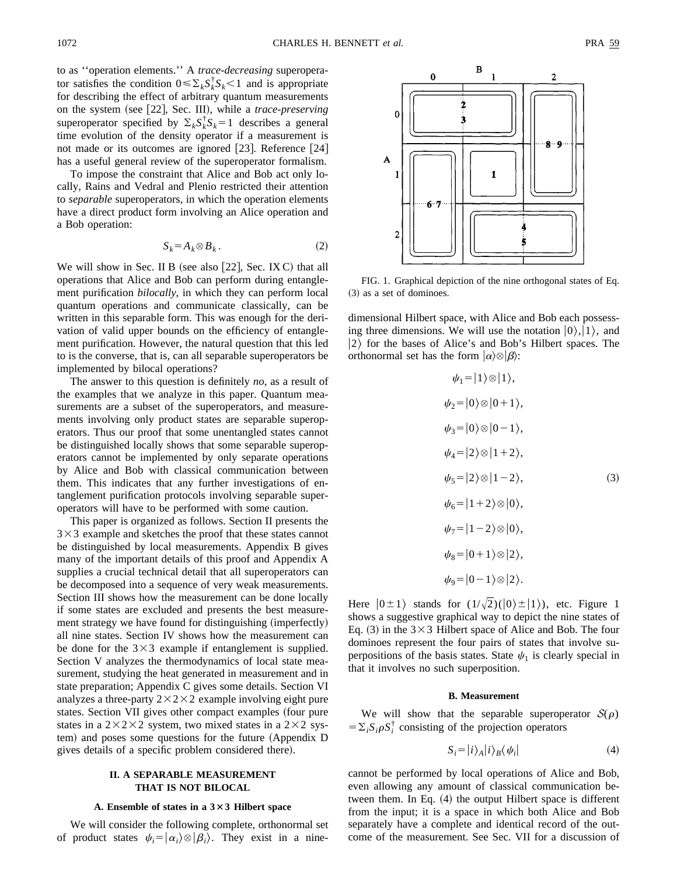to as ''operation elements.'' A *trace-decreasing* superoperator satisfies the condition  $0 \le \sum_k S_k^{\dagger} S_k < 1$  and is appropriate for describing the effect of arbitrary quantum measurements on the system (see [22], Sec. III), while a *trace-preserving* superoperator specified by  $\Sigma_k S_k^{\dagger} S_k = 1$  describes a general time evolution of the density operator if a measurement is not made or its outcomes are ignored  $[23]$ . Reference  $[24]$ has a useful general review of the superoperator formalism.

To impose the constraint that Alice and Bob act only locally, Rains and Vedral and Plenio restricted their attention to *separable* superoperators, in which the operation elements have a direct product form involving an Alice operation and a Bob operation:

$$
S_k = A_k \otimes B_k. \tag{2}
$$

We will show in Sec. II B (see also  $[22]$ , Sec. IX C) that all operations that Alice and Bob can perform during entanglement purification *bilocally*, in which they can perform local quantum operations and communicate classically, can be written in this separable form. This was enough for the derivation of valid upper bounds on the efficiency of entanglement purification. However, the natural question that this led to is the converse, that is, can all separable superoperators be implemented by bilocal operations?

The answer to this question is definitely *no*, as a result of the examples that we analyze in this paper. Quantum measurements are a subset of the superoperators, and measurements involving only product states are separable superoperators. Thus our proof that some unentangled states cannot be distinguished locally shows that some separable superoperators cannot be implemented by only separate operations by Alice and Bob with classical communication between them. This indicates that any further investigations of entanglement purification protocols involving separable superoperators will have to be performed with some caution.

This paper is organized as follows. Section II presents the  $3\times3$  example and sketches the proof that these states cannot be distinguished by local measurements. Appendix B gives many of the important details of this proof and Appendix A supplies a crucial technical detail that all superoperators can be decomposed into a sequence of very weak measurements. Section III shows how the measurement can be done locally if some states are excluded and presents the best measurement strategy we have found for distinguishing (imperfectly) all nine states. Section IV shows how the measurement can be done for the  $3\times3$  example if entanglement is supplied. Section V analyzes the thermodynamics of local state measurement, studying the heat generated in measurement and in state preparation; Appendix C gives some details. Section VI analyzes a three-party  $2 \times 2 \times 2$  example involving eight pure states. Section VII gives other compact examples (four pure states in a  $2\times2\times2$  system, two mixed states in a  $2\times2$  system) and poses some questions for the future (Appendix D gives details of a specific problem considered there).

## **II. A SEPARABLE MEASUREMENT THAT IS NOT BILOCAL**

## **A. Ensemble of states in a 3**3**3 Hilbert space**

We will consider the following complete, orthonormal set of product states  $\psi_i = |\alpha_i\rangle \otimes |\beta_i\rangle$ . They exist in a nine-



FIG. 1. Graphical depiction of the nine orthogonal states of Eq.  $(3)$  as a set of dominoes.

dimensional Hilbert space, with Alice and Bob each possessing three dimensions. We will use the notation  $|0\rangle, |1\rangle$ , and  $|2\rangle$  for the bases of Alice's and Bob's Hilbert spaces. The orthonormal set has the form  $\ket{\alpha}\otimes\ket{\beta}$ :

$$
\psi_1 = |1\rangle \otimes |1\rangle,
$$
  
\n
$$
\psi_2 = |0\rangle \otimes |0 + 1\rangle,
$$
  
\n
$$
\psi_3 = |0\rangle \otimes |0 - 1\rangle,
$$
  
\n
$$
\psi_4 = |2\rangle \otimes |1 + 2\rangle,
$$
  
\n
$$
\psi_5 = |2\rangle \otimes |1 - 2\rangle,
$$
  
\n
$$
\psi_6 = |1 + 2\rangle \otimes |0\rangle,
$$
  
\n
$$
\psi_7 = |1 - 2\rangle \otimes |0\rangle,
$$
  
\n
$$
\psi_8 = |0 + 1\rangle \otimes |2\rangle,
$$
  
\n
$$
\psi_9 = |0 - 1\rangle \otimes |2\rangle.
$$

Here  $|0\pm 1\rangle$  stands for  $(1/\sqrt{2})(|0\rangle \pm |1\rangle)$ , etc. Figure 1 shows a suggestive graphical way to depict the nine states of Eq.  $(3)$  in the  $3\times3$  Hilbert space of Alice and Bob. The four dominoes represent the four pairs of states that involve superpositions of the basis states. State  $\psi_1$  is clearly special in that it involves no such superposition.

### **B. Measurement**

We will show that the separable superoperator  $S(\rho)$  $=\sum_i S_i \rho S_i^{\dagger}$  consisting of the projection operators

$$
S_i = |i\rangle_A |i\rangle_B \langle \psi_i |
$$
 (4)

cannot be performed by local operations of Alice and Bob, even allowing any amount of classical communication between them. In Eq.  $(4)$  the output Hilbert space is different from the input; it is a space in which both Alice and Bob separately have a complete and identical record of the outcome of the measurement. See Sec. VII for a discussion of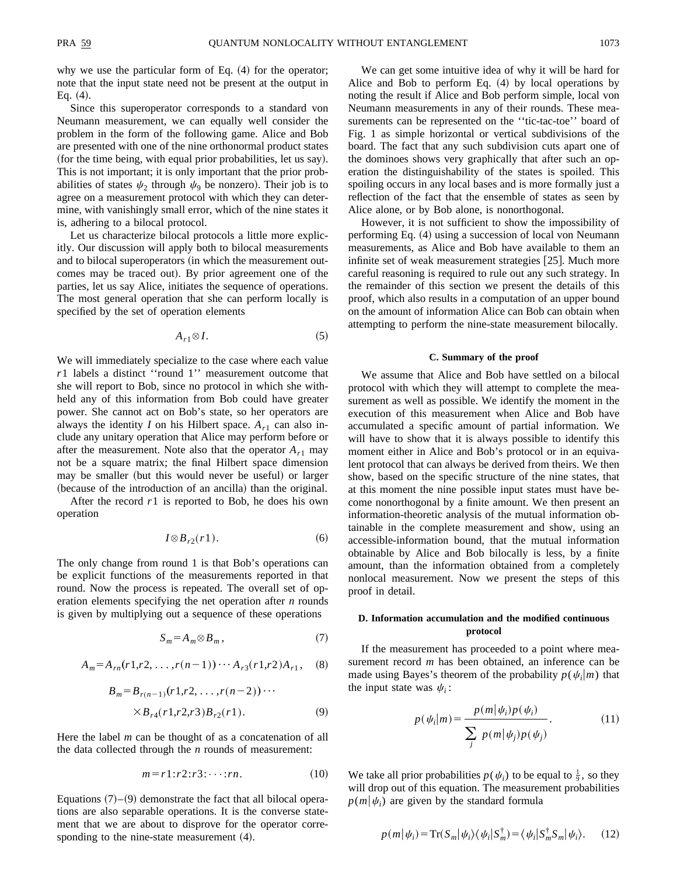why we use the particular form of Eq.  $(4)$  for the operator; note that the input state need not be present at the output in Eq.  $(4)$ .

Since this superoperator corresponds to a standard von Neumann measurement, we can equally well consider the problem in the form of the following game. Alice and Bob are presented with one of the nine orthonormal product states (for the time being, with equal prior probabilities, let us say). This is not important; it is only important that the prior probabilities of states  $\psi_2$  through  $\psi_9$  be nonzero). Their job is to agree on a measurement protocol with which they can determine, with vanishingly small error, which of the nine states it is, adhering to a bilocal protocol.

Let us characterize bilocal protocols a little more explicitly. Our discussion will apply both to bilocal measurements and to bilocal superoperators (in which the measurement outcomes may be traced out). By prior agreement one of the parties, let us say Alice, initiates the sequence of operations. The most general operation that she can perform locally is specified by the set of operation elements

$$
A_{r1} \otimes I. \tag{5}
$$

We will immediately specialize to the case where each value *r*1 labels a distinct ''round 1'' measurement outcome that she will report to Bob, since no protocol in which she withheld any of this information from Bob could have greater power. She cannot act on Bob's state, so her operators are always the identity *I* on his Hilbert space.  $A_{r1}$  can also include any unitary operation that Alice may perform before or after the measurement. Note also that the operator  $A_{r1}$  may not be a square matrix; the final Hilbert space dimension may be smaller (but this would never be useful) or larger (because of the introduction of an ancilla) than the original.

After the record  $r1$  is reported to Bob, he does his own operation

$$
I \otimes B_{r2}(r1). \tag{6}
$$

The only change from round 1 is that Bob's operations can be explicit functions of the measurements reported in that round. Now the process is repeated. The overall set of operation elements specifying the net operation after *n* rounds is given by multiplying out a sequence of these operations

$$
S_m = A_m \otimes B_m, \tag{7}
$$

$$
A_m = A_{rn}(r1, r2, \dots, r(n-1)) \cdots A_{r3}(r1, r2) A_{r1}, \quad (8)
$$

$$
B_m = B_{r(n-1)}(r1, r2, \dots, r(n-2)) \cdots
$$
  
× $B_{r4}(r1, r2, r3)B_{r2}(r1)$ . (9)

Here the label *m* can be thought of as a concatenation of all the data collected through the *n* rounds of measurement:

$$
m = r1 : r2 : r3 : \cdots : rn. \tag{10}
$$

Equations  $(7)$ – $(9)$  demonstrate the fact that all bilocal operations are also separable operations. It is the converse statement that we are about to disprove for the operator corresponding to the nine-state measurement  $(4)$ .

We can get some intuitive idea of why it will be hard for Alice and Bob to perform Eq.  $(4)$  by local operations by noting the result if Alice and Bob perform simple, local von Neumann measurements in any of their rounds. These measurements can be represented on the ''tic-tac-toe'' board of Fig. 1 as simple horizontal or vertical subdivisions of the board. The fact that any such subdivision cuts apart one of the dominoes shows very graphically that after such an operation the distinguishability of the states is spoiled. This spoiling occurs in any local bases and is more formally just a reflection of the fact that the ensemble of states as seen by Alice alone, or by Bob alone, is nonorthogonal.

However, it is not sufficient to show the impossibility of performing Eq.  $(4)$  using a succession of local von Neumann measurements, as Alice and Bob have available to them an infinite set of weak measurement strategies  $[25]$ . Much more careful reasoning is required to rule out any such strategy. In the remainder of this section we present the details of this proof, which also results in a computation of an upper bound on the amount of information Alice can Bob can obtain when attempting to perform the nine-state measurement bilocally.

### **C. Summary of the proof**

We assume that Alice and Bob have settled on a bilocal protocol with which they will attempt to complete the measurement as well as possible. We identify the moment in the execution of this measurement when Alice and Bob have accumulated a specific amount of partial information. We will have to show that it is always possible to identify this moment either in Alice and Bob's protocol or in an equivalent protocol that can always be derived from theirs. We then show, based on the specific structure of the nine states, that at this moment the nine possible input states must have become nonorthogonal by a finite amount. We then present an information-theoretic analysis of the mutual information obtainable in the complete measurement and show, using an accessible-information bound, that the mutual information obtainable by Alice and Bob bilocally is less, by a finite amount, than the information obtained from a completely nonlocal measurement. Now we present the steps of this proof in detail.

# **D. Information accumulation and the modified continuous protocol**

If the measurement has proceeded to a point where measurement record *m* has been obtained, an inference can be made using Bayes's theorem of the probability  $p(\psi_i|m)$  that the input state was  $\psi_i$ :

$$
p(\psi_i|m) = \frac{p(m|\psi_i)p(\psi_i)}{\sum_j p(m|\psi_j)p(\psi_j)}.
$$
 (11)

We take all prior probabilities  $p(\psi_i)$  to be equal to  $\frac{1}{9}$ , so they will drop out of this equation. The measurement probabilities  $p(m|\psi_i)$  are given by the standard formula

$$
p(m|\psi_i) = \text{Tr}(S_m|\psi_i\rangle\langle\psi_i|S_m^{\dagger}) = \langle\psi_i|S_m^{\dagger}S_m|\psi_i\rangle. \tag{12}
$$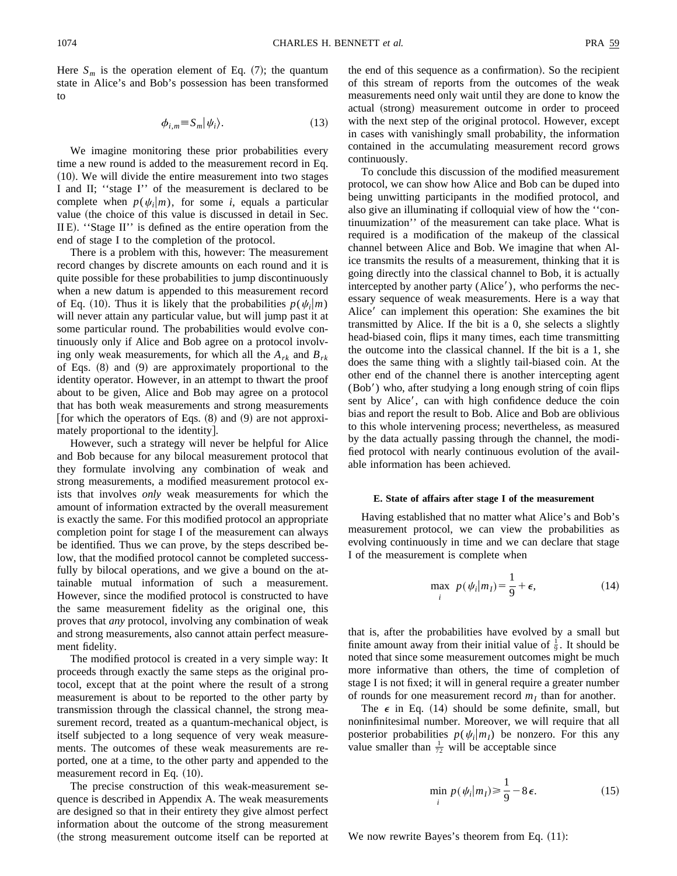Here  $S_m$  is the operation element of Eq.  $(7)$ ; the quantum state in Alice's and Bob's possession has been transformed to

$$
\phi_{i,m} \equiv S_m |\psi_i\rangle. \tag{13}
$$

We imagine monitoring these prior probabilities every time a new round is added to the measurement record in Eq.  $(10)$ . We will divide the entire measurement into two stages I and II; ''stage I'' of the measurement is declared to be complete when  $p(\psi_i|m)$ , for some *i*, equals a particular value (the choice of this value is discussed in detail in Sec.  $IIE$ ). "Stage  $II$ " is defined as the entire operation from the end of stage I to the completion of the protocol.

There is a problem with this, however: The measurement record changes by discrete amounts on each round and it is quite possible for these probabilities to jump discontinuously when a new datum is appended to this measurement record of Eq. (10). Thus it is likely that the probabilities  $p(\psi_i|m)$ will never attain any particular value, but will jump past it at some particular round. The probabilities would evolve continuously only if Alice and Bob agree on a protocol involving only weak measurements, for which all the  $A_{rk}$  and  $B_{rk}$ of Eqs.  $(8)$  and  $(9)$  are approximately proportional to the identity operator. However, in an attempt to thwart the proof about to be given, Alice and Bob may agree on a protocol that has both weak measurements and strong measurements [for which the operators of Eqs.  $(8)$  and  $(9)$  are not approximately proportional to the identity].

However, such a strategy will never be helpful for Alice and Bob because for any bilocal measurement protocol that they formulate involving any combination of weak and strong measurements, a modified measurement protocol exists that involves *only* weak measurements for which the amount of information extracted by the overall measurement is exactly the same. For this modified protocol an appropriate completion point for stage I of the measurement can always be identified. Thus we can prove, by the steps described below, that the modified protocol cannot be completed successfully by bilocal operations, and we give a bound on the attainable mutual information of such a measurement. However, since the modified protocol is constructed to have the same measurement fidelity as the original one, this proves that *any* protocol, involving any combination of weak and strong measurements, also cannot attain perfect measurement fidelity.

The modified protocol is created in a very simple way: It proceeds through exactly the same steps as the original protocol, except that at the point where the result of a strong measurement is about to be reported to the other party by transmission through the classical channel, the strong measurement record, treated as a quantum-mechanical object, is itself subjected to a long sequence of very weak measurements. The outcomes of these weak measurements are reported, one at a time, to the other party and appended to the measurement record in Eq.  $(10)$ .

The precise construction of this weak-measurement sequence is described in Appendix A. The weak measurements are designed so that in their entirety they give almost perfect information about the outcome of the strong measurement (the strong measurement outcome itself can be reported at the end of this sequence as a confirmation. So the recipient of this stream of reports from the outcomes of the weak measurements need only wait until they are done to know the actual (strong) measurement outcome in order to proceed with the next step of the original protocol. However, except in cases with vanishingly small probability, the information contained in the accumulating measurement record grows continuously.

To conclude this discussion of the modified measurement protocol, we can show how Alice and Bob can be duped into being unwitting participants in the modified protocol, and also give an illuminating if colloquial view of how the ''continuumization'' of the measurement can take place. What is required is a modification of the makeup of the classical channel between Alice and Bob. We imagine that when Alice transmits the results of a measurement, thinking that it is going directly into the classical channel to Bob, it is actually intercepted by another party (Alice'), who performs the necessary sequence of weak measurements. Here is a way that Alice' can implement this operation: She examines the bit transmitted by Alice. If the bit is a 0, she selects a slightly head-biased coin, flips it many times, each time transmitting the outcome into the classical channel. If the bit is a 1, she does the same thing with a slightly tail-biased coin. At the other end of the channel there is another intercepting agent  $(Bob')$  who, after studying a long enough string of coin flips sent by Alice', can with high confidence deduce the coin bias and report the result to Bob. Alice and Bob are oblivious to this whole intervening process; nevertheless, as measured by the data actually passing through the channel, the modified protocol with nearly continuous evolution of the available information has been achieved.

#### **E. State of affairs after stage I of the measurement**

Having established that no matter what Alice's and Bob's measurement protocol, we can view the probabilities as evolving continuously in time and we can declare that stage I of the measurement is complete when

$$
\max_{i} \ p(\psi_i|m_i) = \frac{1}{9} + \epsilon, \tag{14}
$$

that is, after the probabilities have evolved by a small but finite amount away from their initial value of  $\frac{1}{9}$ . It should be noted that since some measurement outcomes might be much more informative than others, the time of completion of stage I is not fixed; it will in general require a greater number of rounds for one measurement record  $m<sub>I</sub>$  than for another.

The  $\epsilon$  in Eq. (14) should be some definite, small, but noninfinitesimal number. Moreover, we will require that all posterior probabilities  $p(\psi_i|m_I)$  be nonzero. For this any value smaller than  $\frac{1}{72}$  will be acceptable since

$$
\min_{i} p(\psi_i|m_i) \ge \frac{1}{9} - 8\epsilon.
$$
 (15)

We now rewrite Bayes's theorem from Eq.  $(11)$ :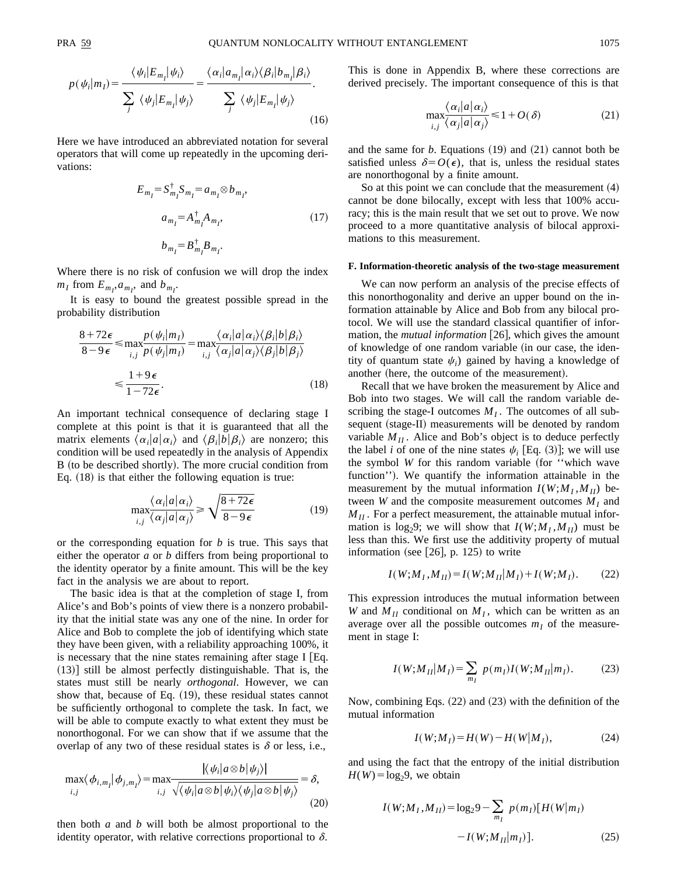$$
p(\psi_i|m_I) = \frac{\langle \psi_i | E_{m_I} | \psi_i \rangle}{\sum_j \langle \psi_j | E_{m_I} | \psi_j \rangle} = \frac{\langle \alpha_i | a_{m_I} | \alpha_i \rangle \langle \beta_i | b_{m_I} | \beta_i \rangle}{\sum_j \langle \psi_j | E_{m_I} | \psi_j \rangle}.
$$
\n(16)

Here we have introduced an abbreviated notation for several operators that will come up repeatedly in the upcoming derivations:

$$
E_{m_I} = S_{m_I}^{\dagger} S_{m_I} = a_{m_I} \otimes b_{m_I},
$$
  
\n
$$
a_{m_I} = A_{m_I}^{\dagger} A_{m_I},
$$
  
\n
$$
b_{m_I} = B_{m_I}^{\dagger} B_{m_I}.
$$
\n(17)

Where there is no risk of confusion we will drop the index  $m_I$  from  $E_{m_I}, a_{m_I}$ , and  $b_{m_I}$ .

It is easy to bound the greatest possible spread in the probability distribution

$$
\frac{8+72\epsilon}{8-9\epsilon} \le \max_{i,j} \frac{p(\psi_i|m_i)}{p(\psi_j|m_i)} = \max_{i,j} \frac{\langle \alpha_i | a|\alpha_i \rangle \langle \beta_i | b|\beta_i \rangle}{\langle \alpha_j | a|\alpha_j \rangle \langle \beta_j | b|\beta_j \rangle} \le \frac{1+9\epsilon}{1-72\epsilon}.
$$
\n(18)

An important technical consequence of declaring stage I complete at this point is that it is guaranteed that all the matrix elements  $\langle \alpha_i | a | \alpha_i \rangle$  and  $\langle \beta_i | b | \beta_i \rangle$  are nonzero; this condition will be used repeatedly in the analysis of Appendix B (to be described shortly). The more crucial condition from Eq.  $(18)$  is that either the following equation is true:

$$
\max_{i,j} \frac{\langle \alpha_i | a | \alpha_i \rangle}{\langle \alpha_j | a | \alpha_j \rangle} \ge \sqrt{\frac{8 + 72\epsilon}{8 - 9\epsilon}} \tag{19}
$$

or the corresponding equation for *b* is true. This says that either the operator *a* or *b* differs from being proportional to the identity operator by a finite amount. This will be the key fact in the analysis we are about to report.

The basic idea is that at the completion of stage I, from Alice's and Bob's points of view there is a nonzero probability that the initial state was any one of the nine. In order for Alice and Bob to complete the job of identifying which state they have been given, with a reliability approaching 100%, it is necessary that the nine states remaining after stage  $I$  [Eq.  $(13)$ ] still be almost perfectly distinguishable. That is, the states must still be nearly *orthogonal*. However, we can show that, because of Eq.  $(19)$ , these residual states cannot be sufficiently orthogonal to complete the task. In fact, we will be able to compute exactly to what extent they must be nonorthogonal. For we can show that if we assume that the overlap of any two of these residual states is  $\delta$  or less, i.e.,

$$
\max_{i,j} \langle \phi_{i,m_j} | \phi_{j,m_j} \rangle = \max_{i,j} \frac{\left| \langle \psi_i | a \otimes b | \psi_j \rangle \right|}{\sqrt{\langle \psi_i | a \otimes b | \psi_i \rangle \langle \psi_j | a \otimes b | \psi_j \rangle}} = \delta,
$$
\n(20)

then both *a* and *b* will both be almost proportional to the identity operator, with relative corrections proportional to  $\delta$ .

This is done in Appendix B, where these corrections are derived precisely. The important consequence of this is that

$$
\max_{i,j} \frac{\langle \alpha_i | a | \alpha_i \rangle}{\langle \alpha_j | a | \alpha_j \rangle} \le 1 + O(\delta)
$$
\n(21)

and the same for  $b$ . Equations  $(19)$  and  $(21)$  cannot both be satisfied unless  $\delta = O(\epsilon)$ , that is, unless the residual states are nonorthogonal by a finite amount.

So at this point we can conclude that the measurement  $(4)$ cannot be done bilocally, except with less that 100% accuracy; this is the main result that we set out to prove. We now proceed to a more quantitative analysis of bilocal approximations to this measurement.

### **F. Information-theoretic analysis of the two-stage measurement**

We can now perform an analysis of the precise effects of this nonorthogonality and derive an upper bound on the information attainable by Alice and Bob from any bilocal protocol. We will use the standard classical quantifier of information, the *mutual information* [26], which gives the amount of knowledge of one random variable (in our case, the identity of quantum state  $\psi$ <sub>i</sub>) gained by having a knowledge of another (here, the outcome of the measurement).

Recall that we have broken the measurement by Alice and Bob into two stages. We will call the random variable describing the stage-I outcomes  $M<sub>I</sub>$ . The outcomes of all subsequent (stage-II) measurements will be denoted by random variable  $M_{II}$ . Alice and Bob's object is to deduce perfectly the label *i* of one of the nine states  $\psi_i$  [Eq. (3)]; we will use the symbol  $W$  for this random variable (for "which wave function''). We quantify the information attainable in the measurement by the mutual information  $I(W; M_I, M_{II})$  between *W* and the composite measurement outcomes  $M<sub>I</sub>$  and  $M_{II}$ . For a perfect measurement, the attainable mutual information is log<sub>2</sub>9; we will show that  $I(W; M_I, M_{II})$  must be less than this. We first use the additivity property of mutual information (see  $[26]$ , p. 125) to write

$$
I(W; M_I, M_{II}) = I(W; M_{II}|M_I) + I(W; M_I).
$$
 (22)

This expression introduces the mutual information between *W* and  $M_{II}$  conditional on  $M_I$ , which can be written as an average over all the possible outcomes  $m<sub>I</sub>$  of the measurement in stage I:

$$
I(W; M_{II}|M_I) = \sum_{m_I} p(m_I)I(W; M_{II}|m_I).
$$
 (23)

Now, combining Eqs.  $(22)$  and  $(23)$  with the definition of the mutual information

$$
I(W; M_I) = H(W) - H(W|M_I),
$$
\n(24)

and using the fact that the entropy of the initial distribution  $H(W) = log<sub>2</sub>9$ , we obtain

$$
I(W; M_I, M_{II}) = \log_2 9 - \sum_{m_I} p(m_I) [H(W|m_I) - I(W; M_{II}|m_I)].
$$
\n(25)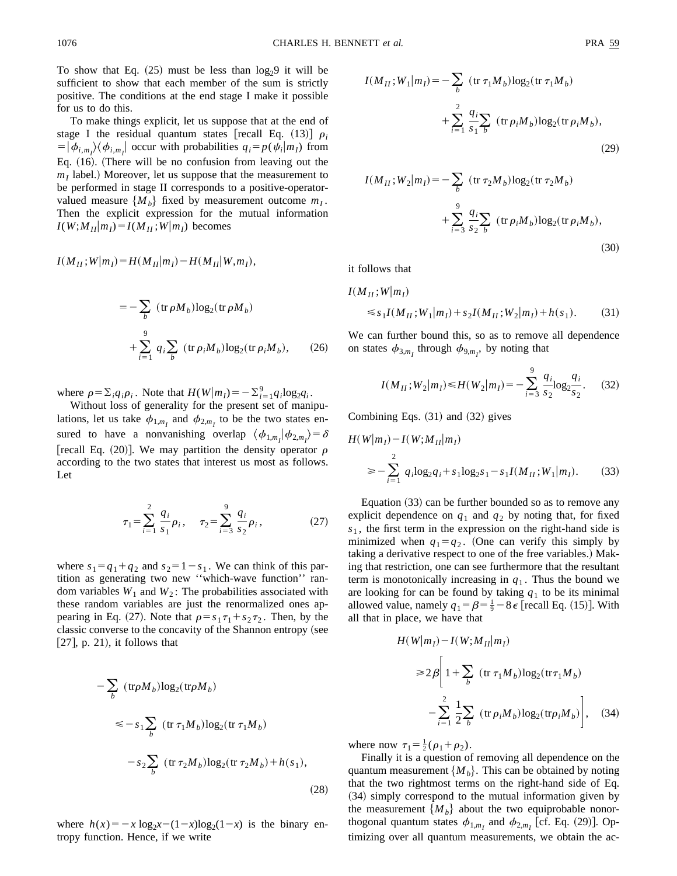To show that Eq.  $(25)$  must be less than log<sub>2</sub>9 it will be sufficient to show that each member of the sum is strictly positive. The conditions at the end stage I make it possible for us to do this.

To make things explicit, let us suppose that at the end of stage I the residual quantum states [recall Eq.  $(13)$ ]  $\rho_i$  $= |\phi_{i,m}|\rangle\langle\phi_{i,m}|\rangle$  occur with probabilities  $q_i = p(\psi_i|m_i)$  from Eq.  $(16)$ . (There will be no confusion from leaving out the  $m<sub>I</sub>$  label.) Moreover, let us suppose that the measurement to be performed in stage II corresponds to a positive-operatorvalued measure  $\{M_{b}\}\$  fixed by measurement outcome  $m_{I}$ . Then the explicit expression for the mutual information  $I(W; M_{II} | m_I) = I(M_{II}; W | m_I)$  becomes

$$
I(M_{II}; W|m_I) = H(M_{II}|m_I) - H(M_{II}|W, m_I),
$$
  
=  $-\sum_b$  (tr  $\rho M_b$ )log<sub>2</sub>(tr  $\rho M_b$ )  
+  $\sum_{i=1}^{9} q_i \sum_b$  (tr  $\rho_i M_b$ )log<sub>2</sub>(tr  $\rho_i M_b$ ), (26)

where  $\rho = \sum_i q_i \rho_i$ . Note that  $H(W|m_I) = -\sum_{i=1}^9 q_i \log_2 q_i$ .

Without loss of generality for the present set of manipulations, let us take  $\phi_{1,m_I}$  and  $\phi_{2,m_I}$  to be the two states ensured to have a nonvanishing overlap  $\langle \phi_{1,m_1} | \phi_{2,m_1} \rangle = \delta$ [recall Eq. (20)]. We may partition the density operator  $\rho$ according to the two states that interest us most as follows. Let

$$
\tau_1 = \sum_{i=1}^2 \frac{q_i}{s_1} \rho_i, \quad \tau_2 = \sum_{i=3}^9 \frac{q_i}{s_2} \rho_i, \tag{27}
$$

where  $s_1 = q_1 + q_2$  and  $s_2 = 1 - s_1$ . We can think of this partition as generating two new ''which-wave function'' random variables  $W_1$  and  $W_2$ : The probabilities associated with these random variables are just the renormalized ones appearing in Eq. (27). Note that  $\rho = s_1 \tau_1 + s_2 \tau_2$ . Then, by the classic converse to the concavity of the Shannon entropy (see  $[27]$ , p. 21), it follows that

$$
-\sum_{b} (\text{tr}\rho M_{b})\log_{2}(\text{tr}\rho M_{b})
$$
  
\n
$$
\leq -s_{1}\sum_{b} (\text{tr}\,\tau_{1}M_{b})\log_{2}(\text{tr}\,\tau_{1}M_{b})
$$
  
\n
$$
-s_{2}\sum_{b} (\text{tr}\,\tau_{2}M_{b})\log_{2}(\text{tr}\,\tau_{2}M_{b}) + h(s_{1}),
$$
\n(28)

where  $h(x) = -x \log_2 x - (1-x) \log_2(1-x)$  is the binary entropy function. Hence, if we write

$$
I(M_{II}; W_1|m_I) = -\sum_{b} (\text{tr } \tau_1 M_b) \log_2(\text{tr } \tau_1 M_b)
$$
  
+ 
$$
\sum_{i=1}^{2} \frac{q_i}{s_1} \sum_{b} (\text{tr } \rho_i M_b) \log_2(\text{tr } \rho_i M_b),
$$
 (29)

$$
I(M_{II}; W_2|m_I) = -\sum_b (\text{tr } \tau_2 M_b) \log_2(\text{tr } \tau_2 M_b)
$$
  
+ 
$$
\sum_{i=3}^9 \frac{q_i}{s_2} \sum_b (\text{tr } \rho_i M_b) \log_2(\text{tr } \rho_i M_b),
$$
  
(30)

it follows that

$$
I(M_{II}; W|m_I)
$$
  
\n
$$
\leq s_1 I(M_{II}; W_1|m_I) + s_2 I(M_{II}; W_2|m_I) + h(s_1).
$$
 (31)

We can further bound this, so as to remove all dependence on states  $\phi_{3,m_I}$  through  $\phi_{9,m_I}$ , by noting that

$$
I(M_{II}; W_2|m_I) \le H(W_2|m_I) = -\sum_{i=3}^{9} \frac{q_i}{s_2} \log_2 \frac{q_i}{s_2}.
$$
 (32)

Combining Eqs.  $(31)$  and  $(32)$  gives

$$
H(W|m_I) - I(W; M_{II}|m_I)
$$
  
\n
$$
\ge -\sum_{i=1}^{2} q_i \log_2 q_i + s_1 \log_2 s_1 - s_1 I(M_{II}; W_1|m_I). \tag{33}
$$

Equation  $(33)$  can be further bounded so as to remove any explicit dependence on  $q_1$  and  $q_2$  by noting that, for fixed  $s<sub>1</sub>$ , the first term in the expression on the right-hand side is minimized when  $q_1 = q_2$ . (One can verify this simply by taking a derivative respect to one of the free variables.) Making that restriction, one can see furthermore that the resultant term is monotonically increasing in  $q_1$ . Thus the bound we are looking for can be found by taking  $q_1$  to be its minimal allowed value, namely  $q_1 = \beta = \frac{1}{9} - 8\epsilon$  [recall Eq. (15)]. With all that in place, we have that

$$
H(W|m_I) - I(W;M_{II}|m_I)
$$
  
\n
$$
\geq 2\beta \left[ 1 + \sum_b (\text{tr } \tau_1 M_b) \log_2(\text{tr } \tau_1 M_b) - \sum_{i=1}^2 \frac{1}{2} \sum_b (\text{tr } \rho_i M_b) \log_2(\text{tr } \rho_i M_b) \right], \quad (34)
$$

where now  $\tau_1 = \frac{1}{2}(\rho_1 + \rho_2)$ .

Finally it is a question of removing all dependence on the quantum measurement  $\{M_{b}\}\$ . This can be obtained by noting that the two rightmost terms on the right-hand side of Eq.  $(34)$  simply correspond to the mutual information given by the measurement  ${M<sub>b</sub>}$  about the two equiprobable nonorthogonal quantum states  $\phi_{1,m_1}$  and  $\phi_{2,m_1}$  [cf. Eq. (29)]. Optimizing over all quantum measurements, we obtain the ac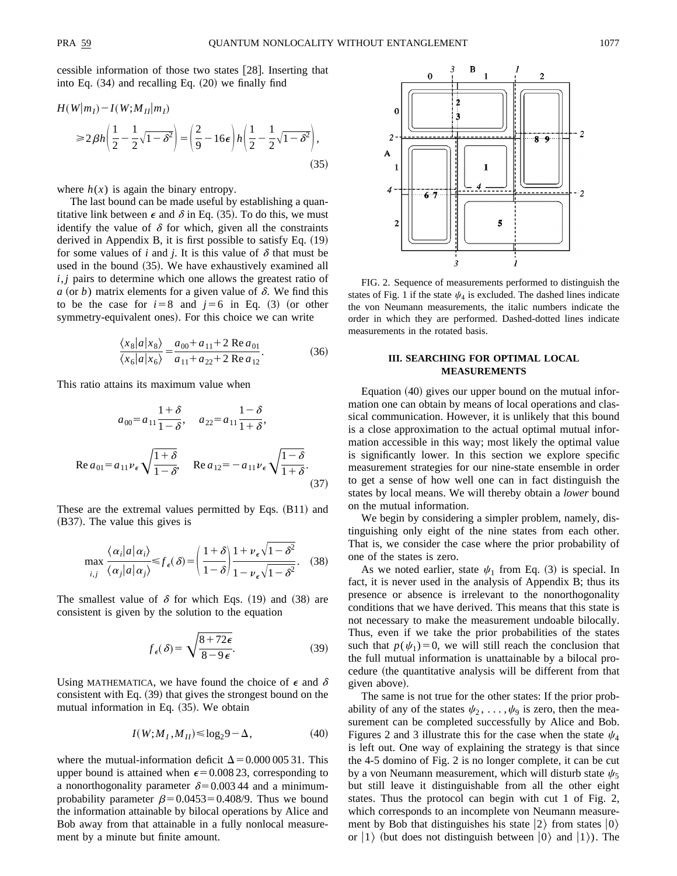cessible information of those two states  $[28]$ . Inserting that into Eq.  $(34)$  and recalling Eq.  $(20)$  we finally find

$$
H(W|m_I) - I(W;M_{II}|m_I)
$$
  
\n
$$
\geq 2\beta h \left(\frac{1}{2} - \frac{1}{2}\sqrt{1-\delta^2}\right) = \left(\frac{2}{9} - 16\epsilon\right) h \left(\frac{1}{2} - \frac{1}{2}\sqrt{1-\delta^2}\right),
$$
\n(35)

where  $h(x)$  is again the binary entropy.

The last bound can be made useful by establishing a quantitative link between  $\epsilon$  and  $\delta$  in Eq. (35). To do this, we must identify the value of  $\delta$  for which, given all the constraints derived in Appendix B, it is first possible to satisfy Eq.  $(19)$ for some values of *i* and *j*. It is this value of  $\delta$  that must be used in the bound  $(35)$ . We have exhaustively examined all  $i, j$  pairs to determine which one allows the greatest ratio of  $a$  (or  $b$ ) matrix elements for a given value of  $\delta$ . We find this to be the case for  $i=8$  and  $j=6$  in Eq. (3) (or other symmetry-equivalent ones). For this choice we can write

$$
\frac{\langle x_8 | a | x_8 \rangle}{\langle x_6 | a | x_6 \rangle} = \frac{a_{00} + a_{11} + 2 \text{ Re } a_{01}}{a_{11} + a_{22} + 2 \text{ Re } a_{12}}.
$$
 (36)

This ratio attains its maximum value when

$$
a_{00} = a_{11} \frac{1+\delta}{1-\delta}, \quad a_{22} = a_{11} \frac{1-\delta}{1+\delta},
$$
  
Re  $a_{01} = a_{11} \nu_{\epsilon} \sqrt{\frac{1+\delta}{1-\delta}}, \quad \text{Re } a_{12} = -a_{11} \nu_{\epsilon} \sqrt{\frac{1-\delta}{1+\delta}}.$  (37)

These are the extremal values permitted by Eqs.  $(B11)$  and  $(B37)$ . The value this gives is

$$
\max_{i,j} \frac{\langle \alpha_i | a | \alpha_i \rangle}{\langle \alpha_j | a | \alpha_j \rangle} \leq f_{\epsilon}(\delta) = \left( \frac{1+\delta}{1-\delta} \right) \frac{1+\nu_{\epsilon} \sqrt{1-\delta^2}}{1-\nu_{\epsilon} \sqrt{1-\delta^2}}. \tag{38}
$$

The smallest value of  $\delta$  for which Eqs. (19) and (38) are consistent is given by the solution to the equation

$$
f_{\epsilon}(\delta) = \sqrt{\frac{8 + 72\epsilon}{8 - 9\epsilon}}.\tag{39}
$$

Using MATHEMATICA, we have found the choice of  $\epsilon$  and  $\delta$ consistent with Eq.  $(39)$  that gives the strongest bound on the mutual information in Eq.  $(35)$ . We obtain

$$
I(W; M_I, M_{II}) \le \log_2 9 - \Delta, \tag{40}
$$

where the mutual-information deficit  $\Delta$  = 0.000 005 31. This upper bound is attained when  $\epsilon$ =0.008 23, corresponding to a nonorthogonality parameter  $\delta$ =0.003 44 and a minimumprobability parameter  $\beta$ =0.0453=0.408/9. Thus we bound the information attainable by bilocal operations by Alice and Bob away from that attainable in a fully nonlocal measurement by a minute but finite amount.



FIG. 2. Sequence of measurements performed to distinguish the states of Fig. 1 if the state  $\psi_4$  is excluded. The dashed lines indicate the von Neumann measurements, the italic numbers indicate the order in which they are performed. Dashed-dotted lines indicate measurements in the rotated basis.

## **III. SEARCHING FOR OPTIMAL LOCAL MEASUREMENTS**

Equation  $(40)$  gives our upper bound on the mutual information one can obtain by means of local operations and classical communication. However, it is unlikely that this bound is a close approximation to the actual optimal mutual information accessible in this way; most likely the optimal value is significantly lower. In this section we explore specific measurement strategies for our nine-state ensemble in order to get a sense of how well one can in fact distinguish the states by local means. We will thereby obtain a *lower* bound on the mutual information.

We begin by considering a simpler problem, namely, distinguishing only eight of the nine states from each other. That is, we consider the case where the prior probability of one of the states is zero.

As we noted earlier, state  $\psi_1$  from Eq. (3) is special. In fact, it is never used in the analysis of Appendix B; thus its presence or absence is irrelevant to the nonorthogonality conditions that we have derived. This means that this state is not necessary to make the measurement undoable bilocally. Thus, even if we take the prior probabilities of the states such that  $p(\psi_1)=0$ , we will still reach the conclusion that the full mutual information is unattainable by a bilocal procedure (the quantitative analysis will be different from that given above).

The same is not true for the other states: If the prior probability of any of the states  $\psi_2, \ldots, \psi_9$  is zero, then the measurement can be completed successfully by Alice and Bob. Figures 2 and 3 illustrate this for the case when the state  $\psi_4$ is left out. One way of explaining the strategy is that since the 4-5 domino of Fig. 2 is no longer complete, it can be cut by a von Neumann measurement, which will disturb state  $\psi_5$ but still leave it distinguishable from all the other eight states. Thus the protocol can begin with cut 1 of Fig. 2, which corresponds to an incomplete von Neumann measurement by Bob that distinguishes his state  $|2\rangle$  from states  $|0\rangle$ or  $|1\rangle$  (but does not distinguish between  $|0\rangle$  and  $|1\rangle$ ). The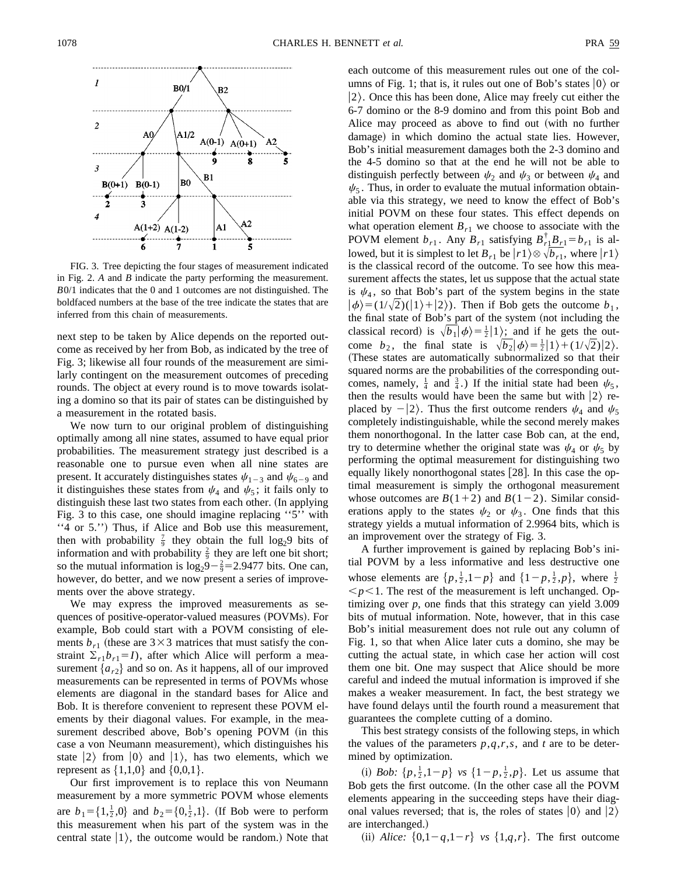

FIG. 3. Tree depicting the four stages of measurement indicated in Fig. 2. *A* and *B* indicate the party performing the measurement. *B*0/1 indicates that the 0 and 1 outcomes are not distinguished. The boldfaced numbers at the base of the tree indicate the states that are inferred from this chain of measurements.

next step to be taken by Alice depends on the reported outcome as received by her from Bob, as indicated by the tree of Fig. 3; likewise all four rounds of the measurement are similarly contingent on the measurement outcomes of preceding rounds. The object at every round is to move towards isolating a domino so that its pair of states can be distinguished by a measurement in the rotated basis.

We now turn to our original problem of distinguishing optimally among all nine states, assumed to have equal prior probabilities. The measurement strategy just described is a reasonable one to pursue even when all nine states are present. It accurately distinguishes states  $\psi_{1-3}$  and  $\psi_{6-9}$  and it distinguishes these states from  $\psi_4$  and  $\psi_5$ ; it fails only to distinguish these last two states from each other. (In applying Fig. 3 to this case, one should imagine replacing ''5'' with "4 or 5.") Thus, if Alice and Bob use this measurement, then with probability  $\frac{7}{9}$  they obtain the full log<sub>2</sub>9 bits of information and with probability  $\frac{2}{9}$  they are left one bit short; so the mutual information is  $log_2 9 - \frac{2}{9} = 2.9477$  bits. One can, however, do better, and we now present a series of improvements over the above strategy.

We may express the improved measurements as sequences of positive-operator-valued measures (POVMs). For example, Bob could start with a POVM consisting of elements  $b_{r1}$  (these are  $3\times3$  matrices that must satisfy the constraint  $\sum_{r} b_{r} = I$ , after which Alice will perform a measurement  $\{a_{r2}\}\$  and so on. As it happens, all of our improved measurements can be represented in terms of POVMs whose elements are diagonal in the standard bases for Alice and Bob. It is therefore convenient to represent these POVM elements by their diagonal values. For example, in the measurement described above, Bob's opening POVM (in this case a von Neumann measurement), which distinguishes his state  $|2\rangle$  from  $|0\rangle$  and  $|1\rangle$ , has two elements, which we represent as  $\{1,1,0\}$  and  $\{0,0,1\}$ .

Our first improvement is to replace this von Neumann measurement by a more symmetric POVM whose elements are  $b_1 = \{1, \frac{1}{2}, 0\}$  and  $b_2 = \{0, \frac{1}{2}, 1\}$ . (If Bob were to perform this measurement when his part of the system was in the central state  $|1\rangle$ , the outcome would be random.) Note that each outcome of this measurement rules out one of the columns of Fig. 1; that is, it rules out one of Bob's states  $|0\rangle$  or  $|2\rangle$ . Once this has been done, Alice may freely cut either the 6-7 domino or the 8-9 domino and from this point Bob and Alice may proceed as above to find out (with no further damage) in which domino the actual state lies. However, Bob's initial measurement damages both the 2-3 domino and the 4-5 domino so that at the end he will not be able to distinguish perfectly between  $\psi_2$  and  $\psi_3$  or between  $\psi_4$  and  $\psi_5$ . Thus, in order to evaluate the mutual information obtainable via this strategy, we need to know the effect of Bob's initial POVM on these four states. This effect depends on what operation element  $B_{r1}$  we choose to associate with the POVM element  $b_{r1}$ . Any  $B_{r1}$  satisfying  $B_{r1}^{\dagger}B_{r1} = b_{r1}$  is allowed, but it is simplest to let  $B_{r1}$  be  $|r1\rangle \otimes \sqrt{b_{r1}}$ , where  $|r1\rangle$ is the classical record of the outcome. To see how this measurement affects the states, let us suppose that the actual state is  $\psi_4$ , so that Bob's part of the system begins in the state  $|\phi\rangle=(1/\sqrt{2})(|1\rangle+|2\rangle)$ . Then if Bob gets the outcome  $b_1$ , the final state of Bob's part of the system (not including the classical record) is  $\sqrt{b_1}$  $\ket{\phi} = \frac{1}{2} |1\rangle$ ; and if he gets the outcome  $b_2$ , the final state is  $\sqrt{b_2}|\phi\rangle = \frac{1}{2}|1\rangle + (1/\sqrt{2})|2\rangle$ . (These states are automatically subnormalized so that their squared norms are the probabilities of the corresponding outcomes, namely,  $\frac{1}{4}$  and  $\frac{3}{4}$ .) If the initial state had been  $\psi_5$ , then the results would have been the same but with  $|2\rangle$  replaced by  $-|2\rangle$ . Thus the first outcome renders  $\psi_4$  and  $\psi_5$ completely indistinguishable, while the second merely makes them nonorthogonal. In the latter case Bob can, at the end, try to determine whether the original state was  $\psi_4$  or  $\psi_5$  by performing the optimal measurement for distinguishing two equally likely nonorthogonal states [28]. In this case the optimal measurement is simply the orthogonal measurement whose outcomes are  $B(1+2)$  and  $B(1-2)$ . Similar considerations apply to the states  $\psi_2$  or  $\psi_3$ . One finds that this strategy yields a mutual information of 2.9964 bits, which is an improvement over the strategy of Fig. 3.

A further improvement is gained by replacing Bob's initial POVM by a less informative and less destructive one whose elements are  $\{p, \frac{1}{2}, 1-p\}$  and  $\{1-p, \frac{1}{2}, p\}$ , where  $\frac{1}{2}$  $p < p < 1$ . The rest of the measurement is left unchanged. Optimizing over *p*, one finds that this strategy can yield 3.009 bits of mutual information. Note, however, that in this case Bob's initial measurement does not rule out any column of Fig. 1, so that when Alice later cuts a domino, she may be cutting the actual state, in which case her action will cost them one bit. One may suspect that Alice should be more careful and indeed the mutual information is improved if she makes a weaker measurement. In fact, the best strategy we have found delays until the fourth round a measurement that guarantees the complete cutting of a domino.

This best strategy consists of the following steps, in which the values of the parameters  $p, q, r, s$ , and *t* are to be determined by optimization.

(i) *Bob:*  $\{p, \frac{1}{2}, 1-p\}$  *vs*  $\{1-p, \frac{1}{2}, p\}$ . Let us assume that Bob gets the first outcome. (In the other case all the POVM elements appearing in the succeeding steps have their diagonal values reversed; that is, the roles of states  $|0\rangle$  and  $|2\rangle$ are interchanged.)

(ii) *Alice:*  $\{0, 1-q, 1-r\}$  *vs*  $\{1,q, r\}$ . The first outcome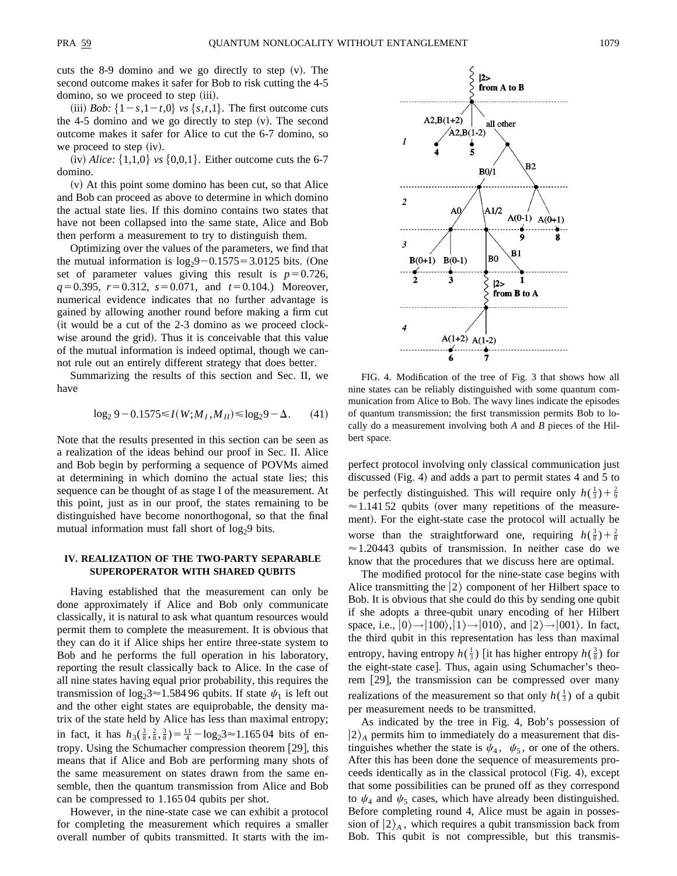cuts the 8-9 domino and we go directly to step  $(v)$ . The second outcome makes it safer for Bob to risk cutting the 4-5 domino, so we proceed to step (iii).

(iii) *Bob:*  $\{1-s, 1-t, 0\}$  *vs*  $\{s, t, 1\}$ . The first outcome cuts the 4-5 domino and we go directly to step  $(v)$ . The second outcome makes it safer for Alice to cut the 6-7 domino, so we proceed to step  $(iv)$ .

 $(iv)$  *Alice:*  $\{1,1,0\}$  *vs*  $\{0,0,1\}$ . Either outcome cuts the 6-7 domino.

 $(v)$  At this point some domino has been cut, so that Alice and Bob can proceed as above to determine in which domino the actual state lies. If this domino contains two states that have not been collapsed into the same state, Alice and Bob then perform a measurement to try to distinguish them.

Optimizing over the values of the parameters, we find that the mutual information is  $log_2 9 - 0.1575 = 3.0125$  bits. (One set of parameter values giving this result is  $p=0.726$ ,  $q=0.395$ ,  $r=0.312$ ,  $s=0.071$ , and  $t=0.104$ .) Moreover, numerical evidence indicates that no further advantage is gained by allowing another round before making a firm cut  $(it$  would be a cut of the 2-3 domino as we proceed clockwise around the grid). Thus it is conceivable that this value of the mutual information is indeed optimal, though we cannot rule out an entirely different strategy that does better.

Summarizing the results of this section and Sec. II, we have

$$
\log_2 9 - 0.1575 \le I(W; M_I, M_{II}) \le \log_2 9 - \Delta. \tag{41}
$$

Note that the results presented in this section can be seen as a realization of the ideas behind our proof in Sec. II. Alice and Bob begin by performing a sequence of POVMs aimed at determining in which domino the actual state lies; this sequence can be thought of as stage I of the measurement. At this point, just as in our proof, the states remaining to be distinguished have become nonorthogonal, so that the final mutual information must fall short of  $log<sub>2</sub>9$  bits.

# **IV. REALIZATION OF THE TWO-PARTY SEPARABLE SUPEROPERATOR WITH SHARED QUBITS**

Having established that the measurement can only be done approximately if Alice and Bob only communicate classically, it is natural to ask what quantum resources would permit them to complete the measurement. It is obvious that they can do it if Alice ships her entire three-state system to Bob and he performs the full operation in his laboratory, reporting the result classically back to Alice. In the case of all nine states having equal prior probability, this requires the transmission of  $\log_2 3 \approx 1.58496$  qubits. If state  $\psi_1$  is left out and the other eight states are equiprobable, the density matrix of the state held by Alice has less than maximal entropy; in fact, it has  $h_3(\frac{3}{8}, \frac{2}{8}, \frac{3}{8}) = \frac{11}{4} - \log_2 3 \approx 1.16504$  bits of entropy. Using the Schumacher compression theorem [29], this means that if Alice and Bob are performing many shots of the same measurement on states drawn from the same ensemble, then the quantum transmission from Alice and Bob can be compressed to 1.165 04 qubits per shot.

However, in the nine-state case we can exhibit a protocol for completing the measurement which requires a smaller overall number of qubits transmitted. It starts with the im-



FIG. 4. Modification of the tree of Fig. 3 that shows how all nine states can be reliably distinguished with some quantum communication from Alice to Bob. The wavy lines indicate the episodes of quantum transmission; the first transmission permits Bob to locally do a measurement involving both *A* and *B* pieces of the Hilbert space.

perfect protocol involving only classical communication just discussed  $(Fig. 4)$  and adds a part to permit states 4 and 5 to be perfectly distinguished. This will require only  $h(\frac{1}{3}) + \frac{2}{9}$  $\approx$  1.141 52 qubits (over many repetitions of the measurement). For the eight-state case the protocol will actually be worse than the straightforward one, requiring  $h(\frac{3}{8}) + \frac{2}{8}$  $\approx$  1.20443 qubits of transmission. In neither case do we know that the procedures that we discuss here are optimal.

The modified protocol for the nine-state case begins with Alice transmitting the  $|2\rangle$  component of her Hilbert space to Bob. It is obvious that she could do this by sending one qubit if she adopts a three-qubit unary encoding of her Hilbert space, i.e.,  $|0\rangle \rightarrow |100\rangle, |1\rangle \rightarrow |010\rangle$ , and  $|2\rangle \rightarrow |001\rangle$ . In fact, the third qubit in this representation has less than maximal entropy, having entropy  $h(\frac{1}{3})$  [it has higher entropy  $h(\frac{3}{8})$  for the eight-state case]. Thus, again using Schumacher's theorem  $[29]$ , the transmission can be compressed over many realizations of the measurement so that only  $h(\frac{1}{3})$  of a qubit per measurement needs to be transmitted.

As indicated by the tree in Fig. 4, Bob's possession of  $|2\rangle$ <sub>A</sub> permits him to immediately do a measurement that distinguishes whether the state is  $\psi_4$ ,  $\psi_5$ , or one of the others. After this has been done the sequence of measurements proceeds identically as in the classical protocol  $(Fig. 4)$ , except that some possibilities can be pruned off as they correspond to  $\psi_4$  and  $\psi_5$  cases, which have already been distinguished. Before completing round 4, Alice must be again in possession of  $|2\rangle$ <sub>A</sub>, which requires a qubit transmission back from Bob. This qubit is not compressible, but this transmis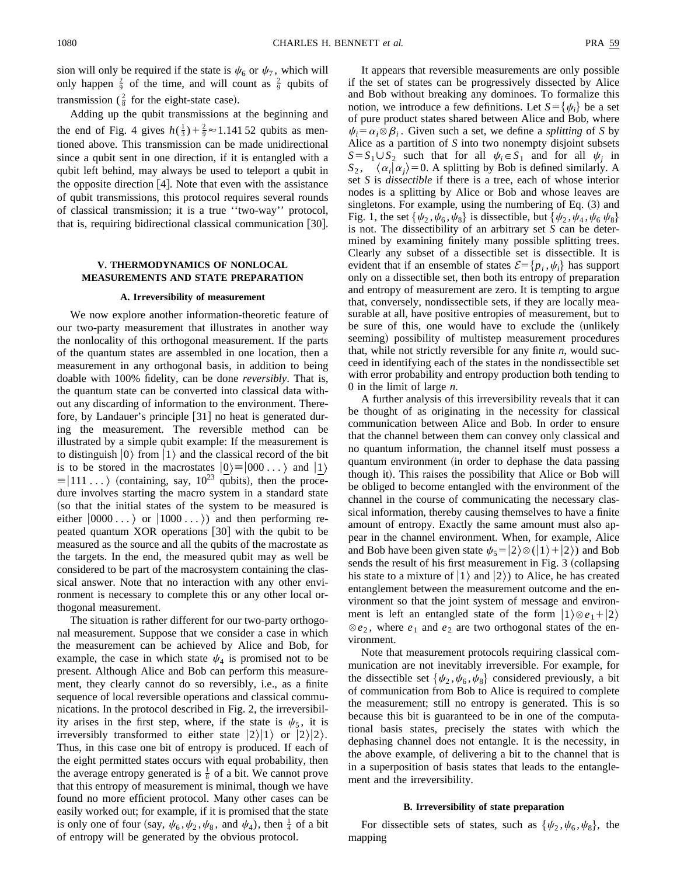sion will only be required if the state is  $\psi_6$  or  $\psi_7$ , which will only happen  $\frac{2}{9}$  of the time, and will count as  $\frac{2}{9}$  qubits of transmission ( $\frac{2}{8}$  for the eight-state case).

Adding up the qubit transmissions at the beginning and the end of Fig. 4 gives  $h(\frac{1}{3}) + \frac{2}{9} \approx 1.14152$  qubits as mentioned above. This transmission can be made unidirectional since a qubit sent in one direction, if it is entangled with a qubit left behind, may always be used to teleport a qubit in the opposite direction  $[4]$ . Note that even with the assistance of qubit transmissions, this protocol requires several rounds of classical transmission; it is a true ''two-way'' protocol, that is, requiring bidirectional classical communication  $[30]$ .

## **V. THERMODYNAMICS OF NONLOCAL MEASUREMENTS AND STATE PREPARATION**

### **A. Irreversibility of measurement**

We now explore another information-theoretic feature of our two-party measurement that illustrates in another way the nonlocality of this orthogonal measurement. If the parts of the quantum states are assembled in one location, then a measurement in any orthogonal basis, in addition to being doable with 100% fidelity, can be done *reversibly*. That is, the quantum state can be converted into classical data without any discarding of information to the environment. Therefore, by Landauer's principle  $|31|$  no heat is generated during the measurement. The reversible method can be illustrated by a simple qubit example: If the measurement is to distinguish  $|0\rangle$  from  $|1\rangle$  and the classical record of the bit is to be stored in the macrostates  $|0\rangle = |000 \dots \rangle$  and  $|1\rangle$  $=$  |111 . . . ) (containing, say, 10<sup>23</sup> qubits), then the procedure involves starting the macro system in a standard state (so that the initial states of the system to be measured is either  $|0000 \dots \rangle$  or  $|1000 \dots \rangle$  and then performing repeated quantum XOR operations  $\lceil 30 \rceil$  with the qubit to be measured as the source and all the qubits of the macrostate as the targets. In the end, the measured qubit may as well be considered to be part of the macrosystem containing the classical answer. Note that no interaction with any other environment is necessary to complete this or any other local orthogonal measurement.

The situation is rather different for our two-party orthogonal measurement. Suppose that we consider a case in which the measurement can be achieved by Alice and Bob, for example, the case in which state  $\psi_4$  is promised not to be present. Although Alice and Bob can perform this measurement, they clearly cannot do so reversibly, i.e., as a finite sequence of local reversible operations and classical communications. In the protocol described in Fig. 2, the irreversibility arises in the first step, where, if the state is  $\psi_5$ , it is irreversibly transformed to either state  $|2\rangle|1\rangle$  or  $|2\rangle|2\rangle$ . Thus, in this case one bit of entropy is produced. If each of the eight permitted states occurs with equal probability, then the average entropy generated is  $\frac{1}{8}$  of a bit. We cannot prove that this entropy of measurement is minimal, though we have found no more efficient protocol. Many other cases can be easily worked out; for example, if it is promised that the state is only one of four (say,  $\psi_6$ ,  $\psi_2$ ,  $\psi_8$ , and  $\psi_4$ ), then  $\frac{1}{4}$  of a bit of entropy will be generated by the obvious protocol.

It appears that reversible measurements are only possible if the set of states can be progressively dissected by Alice and Bob without breaking any dominoes. To formalize this notion, we introduce a few definitions. Let  $S = \{ \psi_i \}$  be a set of pure product states shared between Alice and Bob, where  $\psi_i = \alpha_i \otimes \beta_i$ . Given such a set, we define a *splitting* of *S* by Alice as a partition of *S* into two nonempty disjoint subsets  $S = S_1 \cup S_2$  such that for all  $\psi_i \in S_1$  and for all  $\psi_i$  in  $S_2$ ,  $\langle \alpha_i | \alpha_j \rangle = 0$ . A splitting by Bob is defined similarly. A set *S* is *dissectible* if there is a tree, each of whose interior nodes is a splitting by Alice or Bob and whose leaves are singletons. For example, using the numbering of Eq.  $(3)$  and Fig. 1, the set  $\{\psi_2, \psi_6, \psi_8\}$  is dissectible, but  $\{\psi_2, \psi_4, \psi_6, \psi_8\}$ is not. The dissectibility of an arbitrary set *S* can be determined by examining finitely many possible splitting trees. Clearly any subset of a dissectible set is dissectible. It is evident that if an ensemble of states  $\mathcal{E} = \{p_i, \psi_i\}$  has support only on a dissectible set, then both its entropy of preparation and entropy of measurement are zero. It is tempting to argue that, conversely, nondissectible sets, if they are locally measurable at all, have positive entropies of measurement, but to be sure of this, one would have to exclude the (unlikely seeming) possibility of multistep measurement procedures that, while not strictly reversible for any finite *n*, would succeed in identifying each of the states in the nondissectible set with error probability and entropy production both tending to 0 in the limit of large *n*.

A further analysis of this irreversibility reveals that it can be thought of as originating in the necessity for classical communication between Alice and Bob. In order to ensure that the channel between them can convey only classical and no quantum information, the channel itself must possess a quantum environment (in order to dephase the data passing though it). This raises the possibility that Alice or Bob will be obliged to become entangled with the environment of the channel in the course of communicating the necessary classical information, thereby causing themselves to have a finite amount of entropy. Exactly the same amount must also appear in the channel environment. When, for example, Alice and Bob have been given state  $\psi_5=|2\rangle\otimes (|1\rangle+|2\rangle)$  and Bob sends the result of his first measurement in Fig. 3 (collapsing his state to a mixture of  $|1\rangle$  and  $|2\rangle$ ) to Alice, he has created entanglement between the measurement outcome and the environment so that the joint system of message and environment is left an entangled state of the form  $|1\rangle \otimes e_1 + |2\rangle$  $\otimes e_2$ , where  $e_1$  and  $e_2$  are two orthogonal states of the environment.

Note that measurement protocols requiring classical communication are not inevitably irreversible. For example, for the dissectible set  $\{\psi_2, \psi_6, \psi_8\}$  considered previously, a bit of communication from Bob to Alice is required to complete the measurement; still no entropy is generated. This is so because this bit is guaranteed to be in one of the computational basis states, precisely the states with which the dephasing channel does not entangle. It is the necessity, in the above example, of delivering a bit to the channel that is in a superposition of basis states that leads to the entanglement and the irreversibility.

### **B. Irreversibility of state preparation**

For dissectible sets of states, such as  $\{\psi_2, \psi_6, \psi_8\}$ , the mapping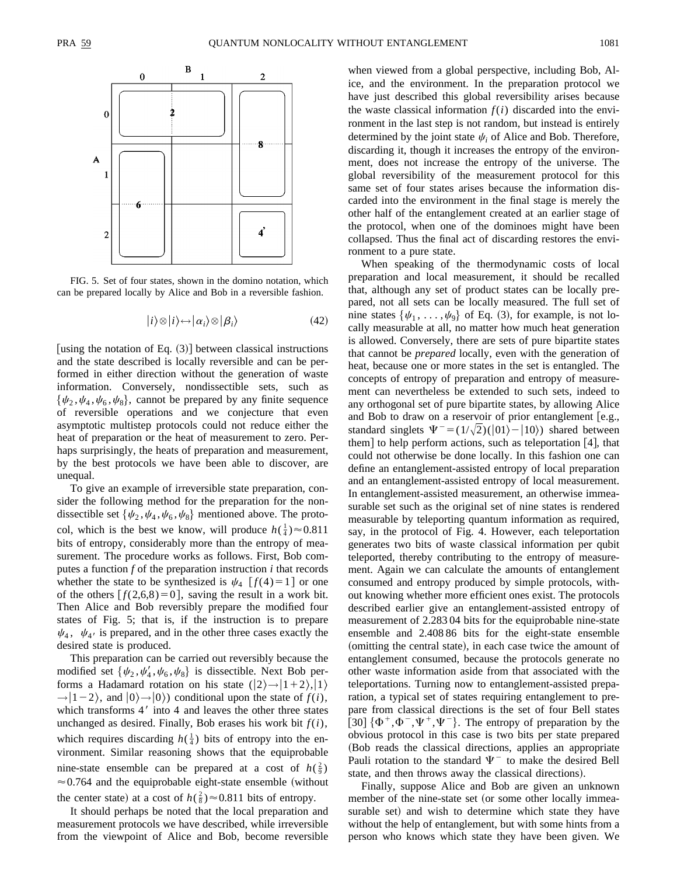

FIG. 5. Set of four states, shown in the domino notation, which can be prepared locally by Alice and Bob in a reversible fashion.

$$
|i\rangle \otimes |i\rangle \leftrightarrow |\alpha_i\rangle \otimes |\beta_i\rangle \tag{42}
$$

[using the notation of Eq.  $(3)$ ] between classical instructions and the state described is locally reversible and can be performed in either direction without the generation of waste information. Conversely, nondissectible sets, such as  $\{\psi_2, \psi_4, \psi_6, \psi_8\}$ , cannot be prepared by any finite sequence of reversible operations and we conjecture that even asymptotic multistep protocols could not reduce either the heat of preparation or the heat of measurement to zero. Perhaps surprisingly, the heats of preparation and measurement, by the best protocols we have been able to discover, are unequal.

To give an example of irreversible state preparation, consider the following method for the preparation for the nondissectible set  $\{\psi_2, \psi_4, \psi_6, \psi_8\}$  mentioned above. The protocol, which is the best we know, will produce  $h(\frac{1}{4}) \approx 0.811$ bits of entropy, considerably more than the entropy of measurement. The procedure works as follows. First, Bob computes a function *f* of the preparation instruction *i* that records whether the state to be synthesized is  $\psi_4$  [ $f(4)=1$ ] or one of the others  $[f(2,6,8)=0]$ , saving the result in a work bit. Then Alice and Bob reversibly prepare the modified four states of Fig. 5; that is, if the instruction is to prepare  $\psi_4$ ,  $\psi_4$  is prepared, and in the other three cases exactly the desired state is produced.

This preparation can be carried out reversibly because the modified set  $\{\psi_2, \psi'_4, \psi_6, \psi_8\}$  is dissectible. Next Bob performs a Hadamard rotation on his state  $(|2\rangle \rightarrow |1+2\rangle, |1\rangle$  $\rightarrow$   $|1-2\rangle$ , and  $|0\rangle \rightarrow |0\rangle$  conditional upon the state of  $f(i)$ , which transforms  $4'$  into  $4$  and leaves the other three states unchanged as desired. Finally, Bob erases his work bit *f*(*i*), which requires discarding  $h(\frac{1}{4})$  bits of entropy into the environment. Similar reasoning shows that the equiprobable nine-state ensemble can be prepared at a cost of  $h(\frac{2}{9})$  $\approx 0.764$  and the equiprobable eight-state ensemble (without the center state) at a cost of  $h(\frac{2}{8}) \approx 0.811$  bits of entropy.

It should perhaps be noted that the local preparation and measurement protocols we have described, while irreversible from the viewpoint of Alice and Bob, become reversible when viewed from a global perspective, including Bob, Alice, and the environment. In the preparation protocol we have just described this global reversibility arises because the waste classical information  $f(i)$  discarded into the environment in the last step is not random, but instead is entirely determined by the joint state  $\psi_i$  of Alice and Bob. Therefore, discarding it, though it increases the entropy of the environment, does not increase the entropy of the universe. The global reversibility of the measurement protocol for this same set of four states arises because the information discarded into the environment in the final stage is merely the other half of the entanglement created at an earlier stage of the protocol, when one of the dominoes might have been collapsed. Thus the final act of discarding restores the environment to a pure state.

When speaking of the thermodynamic costs of local preparation and local measurement, it should be recalled that, although any set of product states can be locally prepared, not all sets can be locally measured. The full set of nine states  $\{\psi_1, \ldots, \psi_9\}$  of Eq. (3), for example, is not locally measurable at all, no matter how much heat generation is allowed. Conversely, there are sets of pure bipartite states that cannot be *prepared* locally, even with the generation of heat, because one or more states in the set is entangled. The concepts of entropy of preparation and entropy of measurement can nevertheless be extended to such sets, indeed to any orthogonal set of pure bipartite states, by allowing Alice and Bob to draw on a reservoir of prior entanglement  $[e.g.,]$ standard singlets  $\Psi^- = (1/\sqrt{2})(|01\rangle - |10\rangle)$  shared between them] to help perform actions, such as teleportation  $[4]$ , that could not otherwise be done locally. In this fashion one can define an entanglement-assisted entropy of local preparation and an entanglement-assisted entropy of local measurement. In entanglement-assisted measurement, an otherwise immeasurable set such as the original set of nine states is rendered measurable by teleporting quantum information as required, say, in the protocol of Fig. 4. However, each teleportation generates two bits of waste classical information per qubit teleported, thereby contributing to the entropy of measurement. Again we can calculate the amounts of entanglement consumed and entropy produced by simple protocols, without knowing whether more efficient ones exist. The protocols described earlier give an entanglement-assisted entropy of measurement of 2.283 04 bits for the equiprobable nine-state ensemble and 2.408 86 bits for the eight-state ensemble (omitting the central state), in each case twice the amount of entanglement consumed, because the protocols generate no other waste information aside from that associated with the teleportations. Turning now to entanglement-assisted preparation, a typical set of states requiring entanglement to prepare from classical directions is the set of four Bell states [30]  $\{\Phi^+, \Phi^-, \Psi^+, \Psi^-\}$ . The entropy of preparation by the obvious protocol in this case is two bits per state prepared (Bob reads the classical directions, applies an appropriate Pauli rotation to the standard  $\Psi^-$  to make the desired Bell state, and then throws away the classical directions).

Finally, suppose Alice and Bob are given an unknown member of the nine-state set (or some other locally immeasurable set) and wish to determine which state they have without the help of entanglement, but with some hints from a person who knows which state they have been given. We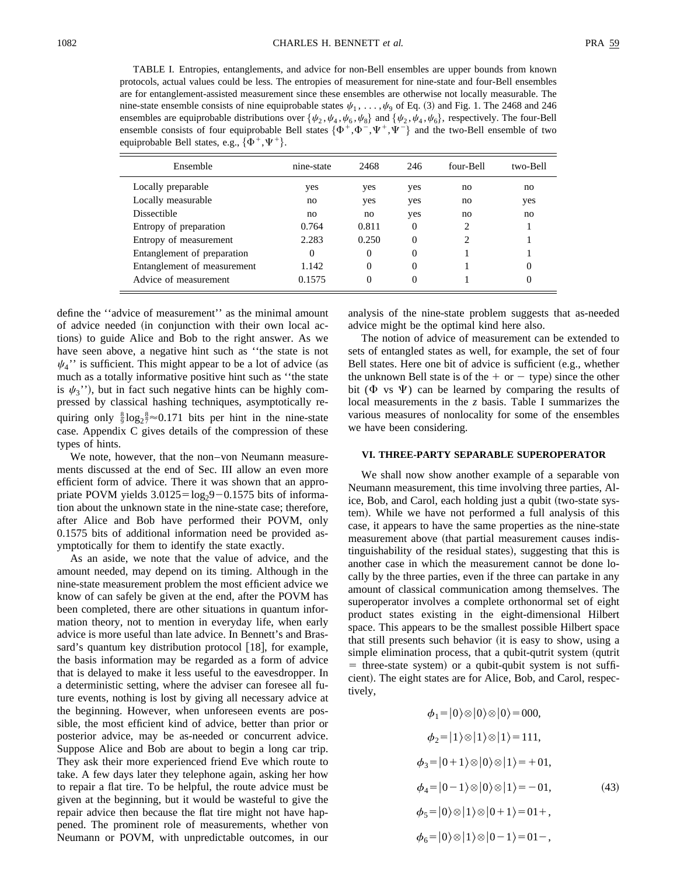TABLE I. Entropies, entanglements, and advice for non-Bell ensembles are upper bounds from known protocols, actual values could be less. The entropies of measurement for nine-state and four-Bell ensembles are for entanglement-assisted measurement since these ensembles are otherwise not locally measurable. The nine-state ensemble consists of nine equiprobable states  $\psi_1, \ldots, \psi_9$  of Eq. (3) and Fig. 1. The 2468 and 246 ensembles are equiprobable distributions over  $\{\psi_2, \psi_4, \psi_6, \psi_8\}$  and  $\{\psi_2, \psi_4, \psi_6\}$ , respectively. The four-Bell ensemble consists of four equiprobable Bell states  $\{\Phi^+, \Phi^-, \Psi^+, \Psi^-\}$  and the two-Bell ensemble of two equiprobable Bell states, e.g.,  $\{\Phi^+, \Psi^+\}.$ 

| Ensemble                    | nine-state | 2468  | 246      | four-Bell                   | two-Bell |
|-----------------------------|------------|-------|----------|-----------------------------|----------|
| Locally preparable          | yes        | yes   | yes      | no                          | no       |
| Locally measurable          | no         | yes   | yes      | no                          | yes      |
| <b>Dissectible</b>          | no         | no    | yes      | no                          | no       |
| Entropy of preparation      | 0.764      | 0.811 | $\Omega$ | 2                           |          |
| Entropy of measurement      | 2.283      | 0.250 | 0        | $\mathcal{D}_{\mathcal{A}}$ |          |
| Entanglement of preparation | $\Omega$   | 0     | $\theta$ |                             |          |
| Entanglement of measurement | 1.142      | 0     | 0        |                             | 0        |
| Advice of measurement       | 0.1575     | 0     | 0        |                             | 0        |

define the ''advice of measurement'' as the minimal amount of advice needed (in conjunction with their own local actions) to guide Alice and Bob to the right answer. As we have seen above, a negative hint such as ''the state is not  $\psi_4$ <sup>"</sup> is sufficient. This might appear to be a lot of advice (as much as a totally informative positive hint such as ''the state is  $\psi_3$ "), but in fact such negative hints can be highly compressed by classical hashing techniques, asymptotically requiring only  $\frac{8}{9} \log_2 \frac{8}{7} \approx 0.171$  bits per hint in the nine-state case. Appendix C gives details of the compression of these types of hints.

We note, however, that the non–von Neumann measurements discussed at the end of Sec. III allow an even more efficient form of advice. There it was shown that an appropriate POVM yields  $3.0125 = \log_2 9 - 0.1575$  bits of information about the unknown state in the nine-state case; therefore, after Alice and Bob have performed their POVM, only 0.1575 bits of additional information need be provided asymptotically for them to identify the state exactly.

As an aside, we note that the value of advice, and the amount needed, may depend on its timing. Although in the nine-state measurement problem the most efficient advice we know of can safely be given at the end, after the POVM has been completed, there are other situations in quantum information theory, not to mention in everyday life, when early advice is more useful than late advice. In Bennett's and Brassard's quantum key distribution protocol  $[18]$ , for example, the basis information may be regarded as a form of advice that is delayed to make it less useful to the eavesdropper. In a deterministic setting, where the adviser can foresee all future events, nothing is lost by giving all necessary advice at the beginning. However, when unforeseen events are possible, the most efficient kind of advice, better than prior or posterior advice, may be as-needed or concurrent advice. Suppose Alice and Bob are about to begin a long car trip. They ask their more experienced friend Eve which route to take. A few days later they telephone again, asking her how to repair a flat tire. To be helpful, the route advice must be given at the beginning, but it would be wasteful to give the repair advice then because the flat tire might not have happened. The prominent role of measurements, whether von Neumann or POVM, with unpredictable outcomes, in our analysis of the nine-state problem suggests that as-needed advice might be the optimal kind here also.

The notion of advice of measurement can be extended to sets of entangled states as well, for example, the set of four Bell states. Here one bit of advice is sufficient  $(e.g.,$  whether the unknown Bell state is of the  $+$  or  $-$  type) since the other bit ( $\Phi$  vs  $\Psi$ ) can be learned by comparing the results of local measurements in the *z* basis. Table I summarizes the various measures of nonlocality for some of the ensembles we have been considering.

## **VI. THREE-PARTY SEPARABLE SUPEROPERATOR**

We shall now show another example of a separable von Neumann measurement, this time involving three parties, Alice, Bob, and Carol, each holding just a qubit (two-state system). While we have not performed a full analysis of this case, it appears to have the same properties as the nine-state measurement above (that partial measurement causes indistinguishability of the residual states), suggesting that this is another case in which the measurement cannot be done locally by the three parties, even if the three can partake in any amount of classical communication among themselves. The superoperator involves a complete orthonormal set of eight product states existing in the eight-dimensional Hilbert space. This appears to be the smallest possible Hilbert space that still presents such behavior (it is easy to show, using a simple elimination process, that a qubit-qutrit system (qutrit  $=$  three-state system) or a qubit-qubit system is not sufficient). The eight states are for Alice, Bob, and Carol, respectively,

$$
\phi_1 = |0\rangle \otimes |0\rangle \otimes |0\rangle = 000,
$$
  
\n
$$
\phi_2 = |1\rangle \otimes |1\rangle \otimes |1\rangle = 111,
$$
  
\n
$$
\phi_3 = |0 + 1\rangle \otimes |0\rangle \otimes |1\rangle = +01,
$$
  
\n
$$
\phi_4 = |0 - 1\rangle \otimes |0\rangle \otimes |1\rangle = -01,
$$
  
\n
$$
\phi_5 = |0\rangle \otimes |1\rangle \otimes |0 + 1\rangle = 01 +,
$$
  
\n
$$
\phi_6 = |0\rangle \otimes |1\rangle \otimes |0 - 1\rangle = 01 -,
$$
  
\n(43)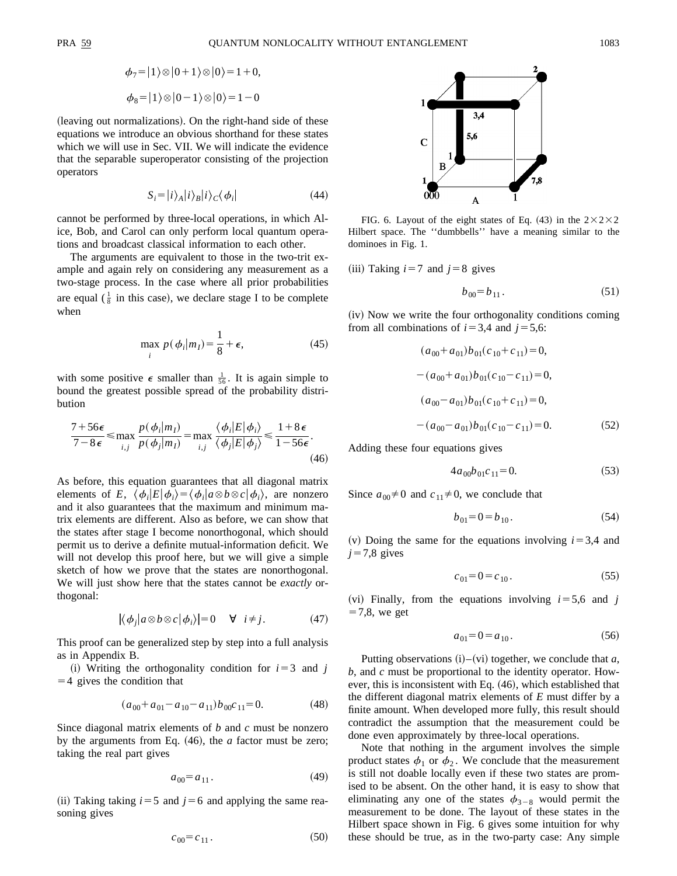$$
\phi_7 = |1\rangle \otimes |0+1\rangle \otimes |0\rangle = 1+0,
$$
  

$$
\phi_8 = |1\rangle \otimes |0-1\rangle \otimes |0\rangle = 1-0
$$

(leaving out normalizations). On the right-hand side of these equations we introduce an obvious shorthand for these states which we will use in Sec. VII. We will indicate the evidence that the separable superoperator consisting of the projection operators

$$
S_i = |i\rangle_A |i\rangle_B |i\rangle_C \langle \phi_i| \tag{44}
$$

cannot be performed by three-local operations, in which Alice, Bob, and Carol can only perform local quantum operations and broadcast classical information to each other.

The arguments are equivalent to those in the two-trit example and again rely on considering any measurement as a two-stage process. In the case where all prior probabilities are equal  $(\frac{1}{8}$  in this case), we declare stage I to be complete when

$$
\max_{i} p(\phi_i|m_i) = \frac{1}{8} + \epsilon,\tag{45}
$$

with some positive  $\epsilon$  smaller than  $\frac{1}{56}$ . It is again simple to bound the greatest possible spread of the probability distribution

$$
\frac{7+56\epsilon}{7-8\epsilon} \le \max_{i,j} \frac{p(\phi_i|m_1)}{p(\phi_j|m_1)} = \max_{i,j} \frac{\langle \phi_i|E|\phi_i\rangle}{\langle \phi_j|E|\phi_j\rangle} \le \frac{1+8\epsilon}{1-56\epsilon}.
$$
\n(46)

As before, this equation guarantees that all diagonal matrix elements of *E*,  $\langle \phi_i | E | \phi_i \rangle = \langle \phi_i | a \otimes b \otimes c | \phi_i \rangle$ , are nonzero and it also guarantees that the maximum and minimum matrix elements are different. Also as before, we can show that the states after stage I become nonorthogonal, which should permit us to derive a definite mutual-information deficit. We will not develop this proof here, but we will give a simple sketch of how we prove that the states are nonorthogonal. We will just show here that the states cannot be *exactly* orthogonal:

$$
|\langle \phi_j | a \otimes b \otimes c | \phi_i \rangle| = 0 \quad \forall \ i \neq j. \tag{47}
$$

This proof can be generalized step by step into a full analysis as in Appendix B.

(i) Writing the orthogonality condition for  $i=3$  and *j*  $=4$  gives the condition that

$$
(a_{00} + a_{01} - a_{10} - a_{11})b_{00}c_{11} = 0. \t(48)
$$

Since diagonal matrix elements of *b* and *c* must be nonzero by the arguments from Eq.  $(46)$ , the *a* factor must be zero; taking the real part gives

$$
a_{00} = a_{11} \tag{49}
$$

 $(iii)$  Taking taking  $i=5$  and  $j=6$  and applying the same reasoning gives

$$
c_{00} = c_{11} \tag{50}
$$



FIG. 6. Layout of the eight states of Eq. (43) in the  $2\times2\times2$ Hilbert space. The ''dumbbells'' have a meaning similar to the dominoes in Fig. 1.

(iii) Taking  $i=7$  and  $j=8$  gives

$$
b_{00} = b_{11}.
$$
 (51)

(iv) Now we write the four orthogonality conditions coming from all combinations of  $i=3,4$  and  $j=5,6$ :

$$
(a_{00} + a_{01})b_{01}(c_{10} + c_{11}) = 0,
$$
  
\n
$$
-(a_{00} + a_{01})b_{01}(c_{10} - c_{11}) = 0,
$$
  
\n
$$
(a_{00} - a_{01})b_{01}(c_{10} + c_{11}) = 0,
$$
  
\n
$$
-(a_{00} - a_{01})b_{01}(c_{10} - c_{11}) = 0.
$$
\n(52)

Adding these four equations gives

$$
4a_{00}b_{01}c_{11} = 0.\t\t(53)
$$

Since  $a_{00} \neq 0$  and  $c_{11} \neq 0$ , we conclude that

$$
b_{01} = 0 = b_{10}.
$$
 (54)

(v) Doing the same for the equations involving  $i=3,4$  and  $j=7,8$  gives

$$
c_{01} = 0 = c_{10}.
$$
 (55)

(vi) Finally, from the equations involving  $i=5,6$  and  $j$  $=7,8$ , we get

$$
a_{01} = 0 = a_{10}.
$$
\n(56)

Putting observations  $(i)$ – $(vi)$  together, we conclude that *a*, *b*, and *c* must be proportional to the identity operator. However, this is inconsistent with Eq.  $(46)$ , which established that the different diagonal matrix elements of *E* must differ by a finite amount. When developed more fully, this result should contradict the assumption that the measurement could be done even approximately by three-local operations.

Note that nothing in the argument involves the simple product states  $\phi_1$  or  $\phi_2$ . We conclude that the measurement is still not doable locally even if these two states are promised to be absent. On the other hand, it is easy to show that eliminating any one of the states  $\phi_{3-8}$  would permit the measurement to be done. The layout of these states in the Hilbert space shown in Fig. 6 gives some intuition for why these should be true, as in the two-party case: Any simple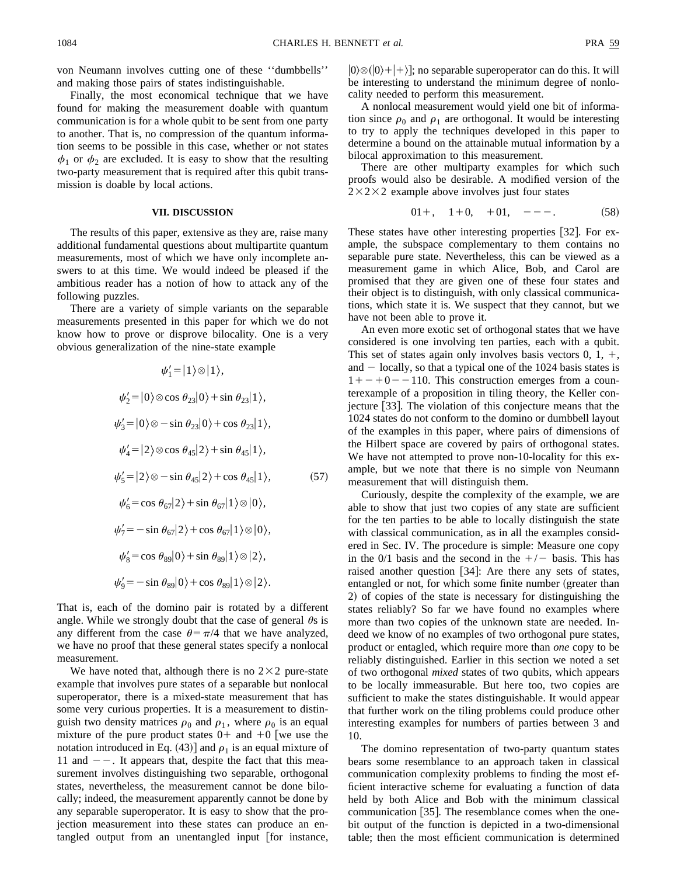von Neumann involves cutting one of these ''dumbbells'' and making those pairs of states indistinguishable.

Finally, the most economical technique that we have found for making the measurement doable with quantum communication is for a whole qubit to be sent from one party to another. That is, no compression of the quantum information seems to be possible in this case, whether or not states  $\phi_1$  or  $\phi_2$  are excluded. It is easy to show that the resulting two-party measurement that is required after this qubit transmission is doable by local actions.

### **VII. DISCUSSION**

The results of this paper, extensive as they are, raise many additional fundamental questions about multipartite quantum measurements, most of which we have only incomplete answers to at this time. We would indeed be pleased if the ambitious reader has a notion of how to attack any of the following puzzles.

There are a variety of simple variants on the separable measurements presented in this paper for which we do not know how to prove or disprove bilocality. One is a very obvious generalization of the nine-state example

$$
\psi_1' = |1\rangle \otimes |1\rangle,
$$
  
\n
$$
\psi_2' = |0\rangle \otimes \cos \theta_{23}|0\rangle + \sin \theta_{23}|1\rangle,
$$
  
\n
$$
\psi_3' = |0\rangle \otimes - \sin \theta_{23}|0\rangle + \cos \theta_{23}|1\rangle,
$$
  
\n
$$
\psi_4' = |2\rangle \otimes \cos \theta_{45}|2\rangle + \sin \theta_{45}|1\rangle,
$$
  
\n
$$
\psi_5' = |2\rangle \otimes - \sin \theta_{45}|2\rangle + \cos \theta_{45}|1\rangle,
$$
  
\n
$$
\psi_6' = \cos \theta_{67}|2\rangle + \sin \theta_{67}|1\rangle \otimes |0\rangle,
$$
  
\n
$$
\psi_7' = - \sin \theta_{67}|2\rangle + \cos \theta_{67}|1\rangle \otimes |0\rangle,
$$
  
\n
$$
\psi_8' = \cos \theta_{89}|0\rangle + \sin \theta_{89}|1\rangle \otimes |2\rangle,
$$
  
\n
$$
\psi_9' = - \sin \theta_{89}|0\rangle + \cos \theta_{89}|1\rangle \otimes |2\rangle.
$$

That is, each of the domino pair is rotated by a different angle. While we strongly doubt that the case of general  $\theta$ s is any different from the case  $\theta = \pi/4$  that we have analyzed, we have no proof that these general states specify a nonlocal measurement.

We have noted that, although there is no  $2\times2$  pure-state example that involves pure states of a separable but nonlocal superoperator, there is a mixed-state measurement that has some very curious properties. It is a measurement to distinguish two density matrices  $\rho_0$  and  $\rho_1$ , where  $\rho_0$  is an equal mixture of the pure product states  $0+$  and  $+0$  [we use the notation introduced in Eq. (43)] and  $\rho_1$  is an equal mixture of 11 and  $-$ . It appears that, despite the fact that this measurement involves distinguishing two separable, orthogonal states, nevertheless, the measurement cannot be done bilocally; indeed, the measurement apparently cannot be done by any separable superoperator. It is easy to show that the projection measurement into these states can produce an entangled output from an unentangled input [for instance,  $|0\rangle \otimes (|0\rangle + |+\rangle]$ ; no separable superoperator can do this. It will be interesting to understand the minimum degree of nonlocality needed to perform this measurement.

A nonlocal measurement would yield one bit of information since  $\rho_0$  and  $\rho_1$  are orthogonal. It would be interesting to try to apply the techniques developed in this paper to determine a bound on the attainable mutual information by a bilocal approximation to this measurement.

There are other multiparty examples for which such proofs would also be desirable. A modified version of the  $2\times2\times2$  example above involves just four states

$$
01+, \quad 1+0, \quad +01, \quad --- \tag{58}
$$

These states have other interesting properties [32]. For example, the subspace complementary to them contains no separable pure state. Nevertheless, this can be viewed as a measurement game in which Alice, Bob, and Carol are promised that they are given one of these four states and their object is to distinguish, with only classical communications, which state it is. We suspect that they cannot, but we have not been able to prove it.

An even more exotic set of orthogonal states that we have considered is one involving ten parties, each with a qubit. This set of states again only involves basis vectors  $0, 1, +$ , and  $-$  locally, so that a typical one of the 1024 basis states is  $1+(-10)-110$ . This construction emerges from a counterexample of a proposition in tiling theory, the Keller conjecture [33]. The violation of this conjecture means that the 1024 states do not conform to the domino or dumbbell layout of the examples in this paper, where pairs of dimensions of the Hilbert space are covered by pairs of orthogonal states. We have not attempted to prove non-10-locality for this example, but we note that there is no simple von Neumann measurement that will distinguish them.

Curiously, despite the complexity of the example, we are able to show that just two copies of any state are sufficient for the ten parties to be able to locally distinguish the state with classical communication, as in all the examples considered in Sec. IV. The procedure is simple: Measure one copy in the  $0/1$  basis and the second in the  $+/-$  basis. This has raised another question  $[34]$ : Are there any sets of states, entangled or not, for which some finite number (greater than 2) of copies of the state is necessary for distinguishing the states reliably? So far we have found no examples where more than two copies of the unknown state are needed. Indeed we know of no examples of two orthogonal pure states, product or entagled, which require more than *one* copy to be reliably distinguished. Earlier in this section we noted a set of two orthogonal *mixed* states of two qubits, which appears to be locally immeasurable. But here too, two copies are sufficient to make the states distinguishable. It would appear that further work on the tiling problems could produce other interesting examples for numbers of parties between 3 and 10.

The domino representation of two-party quantum states bears some resemblance to an approach taken in classical communication complexity problems to finding the most efficient interactive scheme for evaluating a function of data held by both Alice and Bob with the minimum classical communication [35]. The resemblance comes when the onebit output of the function is depicted in a two-dimensional table; then the most efficient communication is determined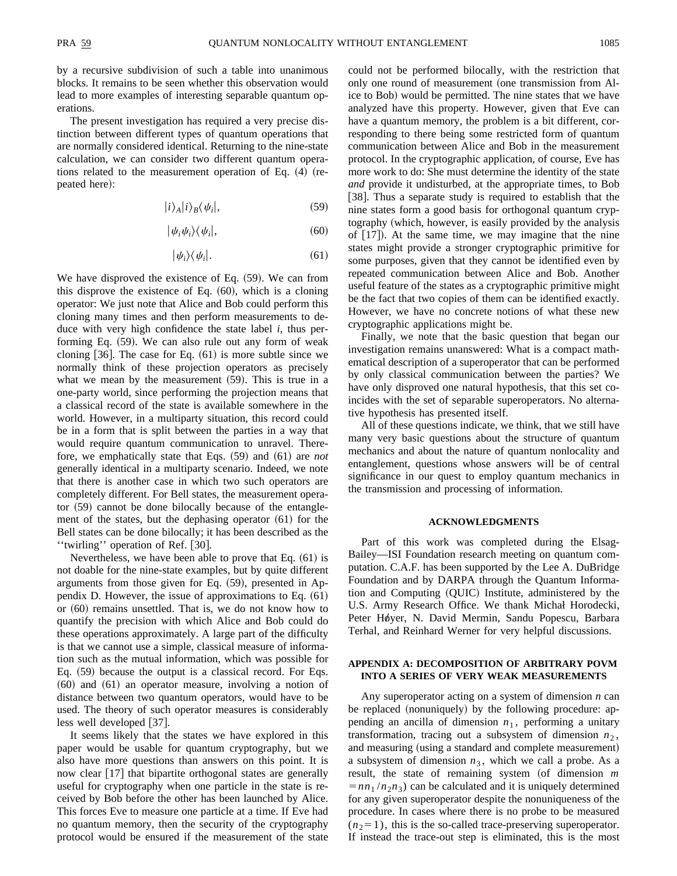by a recursive subdivision of such a table into unanimous blocks. It remains to be seen whether this observation would lead to more examples of interesting separable quantum operations.

The present investigation has required a very precise distinction between different types of quantum operations that are normally considered identical. Returning to the nine-state calculation, we can consider two different quantum operations related to the measurement operation of Eq.  $(4)$  (repeated here):

$$
|i\rangle_A |i\rangle_B \langle \psi_i |, \qquad (59)
$$

$$
|\psi_i \psi_i \rangle \langle \psi_i |, \tag{60}
$$

$$
|\psi_i\rangle\langle\psi_i|.\tag{61}
$$

We have disproved the existence of Eq.  $(59)$ . We can from this disprove the existence of Eq.  $(60)$ , which is a cloning operator: We just note that Alice and Bob could perform this cloning many times and then perform measurements to deduce with very high confidence the state label *i*, thus performing Eq.  $(59)$ . We can also rule out any form of weak cloning  $[36]$ . The case for Eq.  $(61)$  is more subtle since we normally think of these projection operators as precisely what we mean by the measurement  $(59)$ . This is true in a one-party world, since performing the projection means that a classical record of the state is available somewhere in the world. However, in a multiparty situation, this record could be in a form that is split between the parties in a way that would require quantum communication to unravel. Therefore, we emphatically state that Eqs.  $(59)$  and  $(61)$  are *not* generally identical in a multiparty scenario. Indeed, we note that there is another case in which two such operators are completely different. For Bell states, the measurement opera $tor (59)$  cannot be done bilocally because of the entanglement of the states, but the dephasing operator  $(61)$  for the Bell states can be done bilocally; it has been described as the "twirling" operation of Ref.  $[30]$ .

Nevertheless, we have been able to prove that Eq.  $(61)$  is not doable for the nine-state examples, but by quite different arguments from those given for Eq.  $(59)$ , presented in Appendix D. However, the issue of approximations to Eq.  $(61)$ or  $(60)$  remains unsettled. That is, we do not know how to quantify the precision with which Alice and Bob could do these operations approximately. A large part of the difficulty is that we cannot use a simple, classical measure of information such as the mutual information, which was possible for Eq.  $(59)$  because the output is a classical record. For Eqs.  $(60)$  and  $(61)$  an operator measure, involving a notion of distance between two quantum operators, would have to be used. The theory of such operator measures is considerably less well developed  $[37]$ .

It seems likely that the states we have explored in this paper would be usable for quantum cryptography, but we also have more questions than answers on this point. It is now clear  $\lceil 17 \rceil$  that bipartite orthogonal states are generally useful for cryptography when one particle in the state is received by Bob before the other has been launched by Alice. This forces Eve to measure one particle at a time. If Eve had no quantum memory, then the security of the cryptography protocol would be ensured if the measurement of the state could not be performed bilocally, with the restriction that only one round of measurement (one transmission from Alice to Bob) would be permitted. The nine states that we have analyzed have this property. However, given that Eve can have a quantum memory, the problem is a bit different, corresponding to there being some restricted form of quantum communication between Alice and Bob in the measurement protocol. In the cryptographic application, of course, Eve has more work to do: She must determine the identity of the state *and* provide it undisturbed, at the appropriate times, to Bob [38]. Thus a separate study is required to establish that the nine states form a good basis for orthogonal quantum cryptography (which, however, is easily provided by the analysis of  $[17]$ . At the same time, we may imagine that the nine states might provide a stronger cryptographic primitive for some purposes, given that they cannot be identified even by repeated communication between Alice and Bob. Another useful feature of the states as a cryptographic primitive might be the fact that two copies of them can be identified exactly. However, we have no concrete notions of what these new cryptographic applications might be.

Finally, we note that the basic question that began our investigation remains unanswered: What is a compact mathematical description of a superoperator that can be performed by only classical communication between the parties? We have only disproved one natural hypothesis, that this set coincides with the set of separable superoperators. No alternative hypothesis has presented itself.

All of these questions indicate, we think, that we still have many very basic questions about the structure of quantum mechanics and about the nature of quantum nonlocality and entanglement, questions whose answers will be of central significance in our quest to employ quantum mechanics in the transmission and processing of information.

#### **ACKNOWLEDGMENTS**

Part of this work was completed during the Elsag-Bailey—ISI Foundation research meeting on quantum computation. C.A.F. has been supported by the Lee A. DuBridge Foundation and by DARPA through the Quantum Information and Computing (QUIC) Institute, administered by the U.S. Army Research Office. We thank Michał Horodecki, Peter Høyer, N. David Mermin, Sandu Popescu, Barbara Terhal, and Reinhard Werner for very helpful discussions.

## **APPENDIX A: DECOMPOSITION OF ARBITRARY POVM INTO A SERIES OF VERY WEAK MEASUREMENTS**

Any superoperator acting on a system of dimension *n* can be replaced (nonuniquely) by the following procedure: appending an ancilla of dimension  $n_1$ , performing a unitary transformation, tracing out a subsystem of dimension  $n_2$ , and measuring (using a standard and complete measurement) a subsystem of dimension  $n_3$ , which we call a probe. As a result, the state of remaining system (of dimension  $m$  $=$ *nn*<sub>1</sub>/*n*<sub>2</sub>*n*<sub>3</sub>) can be calculated and it is uniquely determined for any given superoperator despite the nonuniqueness of the procedure. In cases where there is no probe to be measured  $(n<sub>2</sub>=1)$ , this is the so-called trace-preserving superoperator. If instead the trace-out step is eliminated, this is the most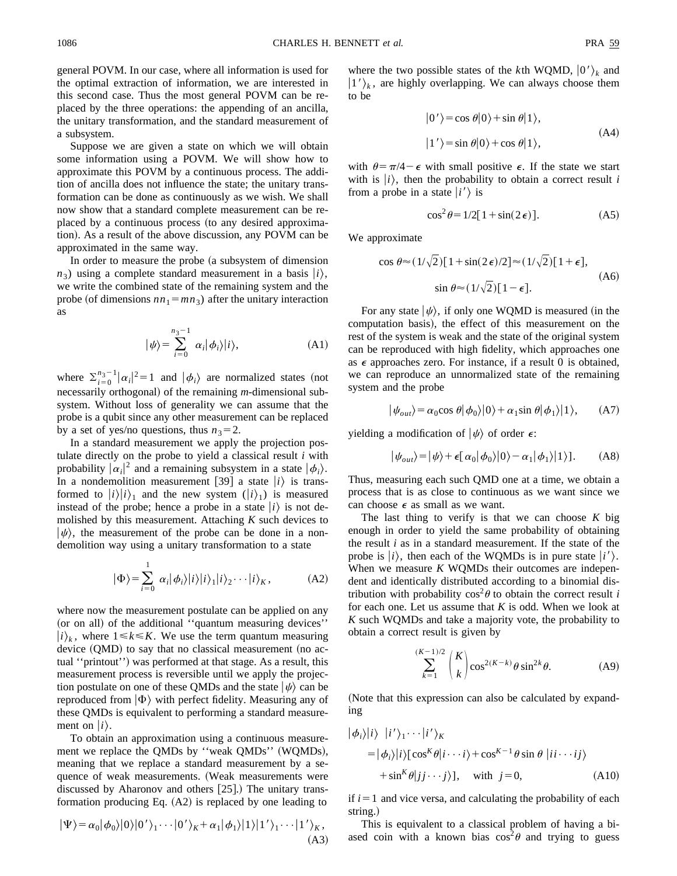Suppose we are given a state on which we will obtain some information using a POVM. We will show how to approximate this POVM by a continuous process. The addition of ancilla does not influence the state; the unitary transformation can be done as continuously as we wish. We shall now show that a standard complete measurement can be replaced by a continuous process (to any desired approximation). As a result of the above discussion, any POVM can be approximated in the same way.

In order to measure the probe (a subsystem of dimension  $n_3$ ) using a complete standard measurement in a basis  $|i\rangle$ , we write the combined state of the remaining system and the probe (of dimensions  $nn_1 = mn_3$ ) after the unitary interaction as

$$
|\psi\rangle = \sum_{i=0}^{n_3-1} \alpha_i |\phi_i\rangle |i\rangle, \tag{A1}
$$

where  $\sum_{i=0}^{n_3-1} |\alpha_i|^2 = 1$  and  $|\phi_i\rangle$  are normalized states (not necessarily orthogonal) of the remaining *m*-dimensional subsystem. Without loss of generality we can assume that the probe is a qubit since any other measurement can be replaced by a set of yes/no questions, thus  $n_3=2$ .

In a standard measurement we apply the projection postulate directly on the probe to yield a classical result *i* with probability  $|\alpha_i|^2$  and a remaining subsystem in a state  $|\phi_i\rangle$ . In a nondemolition measurement [39] a state  $|i\rangle$  is transformed to  $|i\rangle|i\rangle_1$  and the new system  $(|i\rangle_1)$  is measured instead of the probe; hence a probe in a state  $|i\rangle$  is not demolished by this measurement. Attaching *K* such devices to  $|\psi\rangle$ , the measurement of the probe can be done in a nondemolition way using a unitary transformation to a state

$$
|\Phi\rangle = \sum_{i=0}^{1} \alpha_i |\phi_i\rangle |i\rangle |i\rangle_1 |i\rangle_2 \cdots |i\rangle_K, \tag{A2}
$$

where now the measurement postulate can be applied on any (or on all) of the additional "quantum measuring devices"  $|i\rangle_k$ , where  $1 \le k \le K$ . We use the term quantum measuring device  $(QMD)$  to say that no classical measurement (no actual "printout") was performed at that stage. As a result, this measurement process is reversible until we apply the projection postulate on one of these QMDs and the state  $|\psi\rangle$  can be reproduced from  $|\Phi\rangle$  with perfect fidelity. Measuring any of these QMDs is equivalent to performing a standard measurement on  $|i\rangle$ .

To obtain an approximation using a continuous measurement we replace the QMDs by "weak QMDs" (WQMDs), meaning that we replace a standard measurement by a sequence of weak measurements. (Weak measurements were discussed by Aharonov and others  $[25]$ .) The unitary transformation producing Eq.  $(A2)$  is replaced by one leading to

$$
|\Psi\rangle = \alpha_0 |\phi_0\rangle |0\rangle |0'\rangle_1 \cdots |0'\rangle_K + \alpha_1 |\phi_1\rangle |1\rangle |1'\rangle_1 \cdots |1'\rangle_K,
$$
\n(A3)

where the two possible states of the *k*th WQMD,  $|0'\rangle_k$  and  $|1'\rangle_k$ , are highly overlapping. We can always choose them to be

$$
|0'\rangle = \cos \theta |0\rangle + \sin \theta |1\rangle,
$$
  

$$
|1'\rangle = \sin \theta |0\rangle + \cos \theta |1\rangle,
$$
 (A4)

with  $\theta = \pi/4 - \epsilon$  with small positive  $\epsilon$ . If the state we start with is  $|i\rangle$ , then the probability to obtain a correct result *i* from a probe in a state  $|i'\rangle$  is

$$
\cos^2 \theta = 1/2[1 + \sin(2\epsilon)].
$$
 (A5)

We approximate

$$
\cos \theta \approx (1/\sqrt{2})[1 + \sin(2\epsilon)/2] \approx (1/\sqrt{2})[1 + \epsilon],
$$
  
\n
$$
\sin \theta \approx (1/\sqrt{2})[1 - \epsilon].
$$
\n(A6)

For any state  $|\psi\rangle$ , if only one WQMD is measured (in the computation basis), the effect of this measurement on the rest of the system is weak and the state of the original system can be reproduced with high fidelity, which approaches one as  $\epsilon$  approaches zero. For instance, if a result 0 is obtained, we can reproduce an unnormalized state of the remaining system and the probe

$$
|\psi_{out}\rangle = \alpha_0 \cos \theta |\phi_0\rangle |0\rangle + \alpha_1 \sin \theta |\phi_1\rangle |1\rangle, \quad (A7)
$$

yielding a modification of  $|\psi\rangle$  of order  $\epsilon$ :

$$
|\psi_{out}\rangle = |\psi\rangle + \epsilon [\alpha_0 |\phi_0\rangle |0\rangle - \alpha_1 |\phi_1\rangle |1\rangle]. \tag{A8}
$$

Thus, measuring each such QMD one at a time, we obtain a process that is as close to continuous as we want since we can choose  $\epsilon$  as small as we want.

The last thing to verify is that we can choose  $K$  big enough in order to yield the same probability of obtaining the result *i* as in a standard measurement. If the state of the probe is  $|i\rangle$ , then each of the WQMDs is in pure state  $|i'\rangle$ . When we measure *K* WQMDs their outcomes are independent and identically distributed according to a binomial distribution with probability  $\cos^2 \theta$  to obtain the correct result *i* for each one. Let us assume that *K* is odd. When we look at *K* such WQMDs and take a majority vote, the probability to obtain a correct result is given by

$$
\sum_{k=1}^{(K-1)/2} \binom{K}{k} \cos^{2(K-k)} \theta \sin^{2k} \theta.
$$
 (A9)

(Note that this expression can also be calculated by expanding

$$
\begin{aligned} |\phi_i\rangle|i\rangle & |i'\rangle_1 \cdots |i'\rangle_K \\ &= |\phi_i\rangle|i\rangle[\cos^K\theta|i\cdots i\rangle + \cos^{K-1}\theta\sin\theta & |ii\cdots ij\rangle \\ &+ \sin^K\theta|jj\cdots j\rangle], \quad \text{with } j=0, \end{aligned} \tag{A10}
$$

if  $i=1$  and vice versa, and calculating the probability of each string.)

This is equivalent to a classical problem of having a biased coin with a known bias  $\cos^2 \theta$  and trying to guess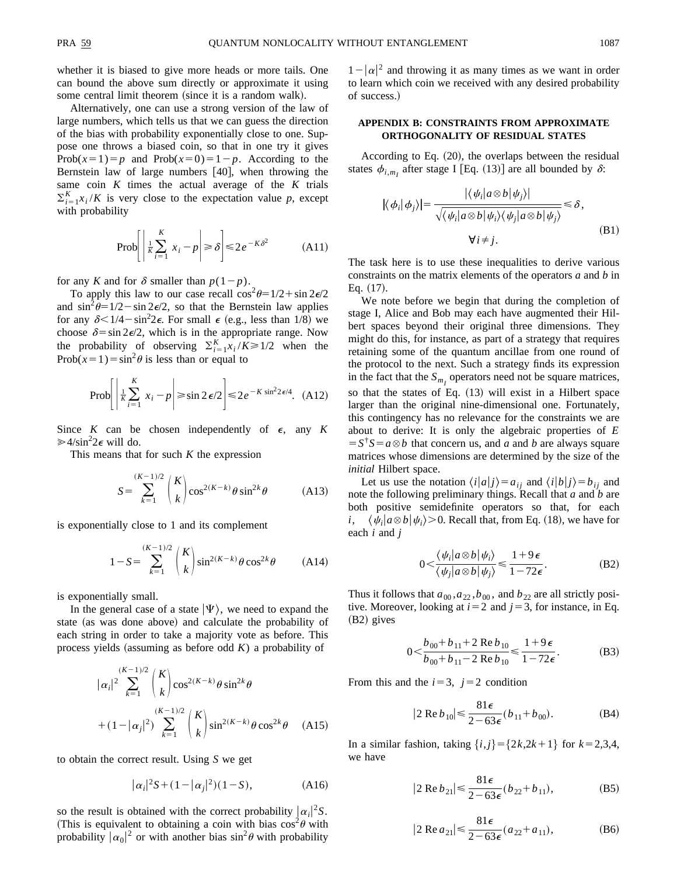whether it is biased to give more heads or more tails. One can bound the above sum directly or approximate it using some central limit theorem (since it is a random walk).

Alternatively, one can use a strong version of the law of large numbers, which tells us that we can guess the direction of the bias with probability exponentially close to one. Suppose one throws a biased coin, so that in one try it gives Prob( $x=1$ )=p and Prob( $x=0$ )=1-p. According to the Bernstein law of large numbers  $[40]$ , when throwing the same coin *K* times the actual average of the *K* trials  $\sum_{i=1}^{K} x_i/K$  is very close to the expectation value *p*, except with probability

$$
\text{Prob}\left[\left|\frac{K}{K}\sum_{i=1}^{K}x_{i}-p\right|\geqslant\delta\right]\leqslant 2e^{-K\delta^{2}}\tag{A11}
$$

for any *K* and for  $\delta$  smaller than  $p(1-p)$ .

To apply this law to our case recall  $\cos^2\theta = 1/2 + \sin 2\epsilon/2$ and  $\sin^2\theta = 1/2 - \sin 2\epsilon/2$ , so that the Bernstein law applies for any  $\delta < 1/4 - \sin^2 2\epsilon$ . For small  $\epsilon$  (e.g., less than 1/8) we choose  $\delta = \sin 2\epsilon/2$ , which is in the appropriate range. Now the probability of observing  $\sum_{i=1}^{K} x_i / K \ge 1/2$  when the Prob( $x=1$ ) =  $\sin^2\theta$  is less than or equal to

$$
\text{Prob}\left[\left|\frac{K}{K}\sum_{i=1}^{K}x_{i}-p\right|\geq\sin 2\epsilon/2\right]\leq 2e^{-K\sin^{2}2\epsilon/4}.\quad\text{(A12)}
$$

Since *K* can be chosen independently of  $\epsilon$ , any *K*  $\gg$ 4/sin<sup>2</sup>2 $\epsilon$  will do.

This means that for such *K* the expression

$$
S = \sum_{k=1}^{(K-1)/2} \binom{K}{k} \cos^{2(K-k)} \theta \sin^{2k} \theta \qquad (A13)
$$

is exponentially close to 1 and its complement

$$
1 - S = \sum_{k=1}^{(K-1)/2} {K \choose k} \sin^{2(K-k)} \theta \cos^{2k} \theta
$$
 (A14)

is exponentially small.

In the general case of a state  $|\Psi\rangle$ , we need to expand the state (as was done above) and calculate the probability of each string in order to take a majority vote as before. This process yields (assuming as before odd  $K$ ) a probability of

$$
|\alpha_i|^2 \sum_{k=1}^{(K-1)/2} \binom{K}{k} \cos^{2(K-k)} \theta \sin^{2k} \theta
$$
  
+  $(1-|\alpha_j|^2) \sum_{k=1}^{(K-1)/2} \binom{K}{k} \sin^{2(K-k)} \theta \cos^{2k} \theta$  (A15)

to obtain the correct result. Using *S* we get

$$
|\alpha_i|^2 S + (1 - |\alpha_j|^2)(1 - S), \tag{A16}
$$

so the result is obtained with the correct probability  $\left| \alpha_i \right|^2 S$ . (This is equivalent to obtaining a coin with bias  $\cos^2 \theta$  with probability  $|\alpha_0|^2$  or with another bias  $\sin^2\theta$  with probability

 $1-|\alpha|^2$  and throwing it as many times as we want in order to learn which coin we received with any desired probability of success.)

# **APPENDIX B: CONSTRAINTS FROM APPROXIMATE ORTHOGONALITY OF RESIDUAL STATES**

According to Eq.  $(20)$ , the overlaps between the residual states  $\phi_{i,m}$  after stage I [Eq. (13)] are all bounded by  $\delta$ :

$$
|\langle \phi_i | \phi_j \rangle| = \frac{|\langle \psi_i | a \otimes b | \psi_j \rangle|}{\sqrt{\langle \psi_i | a \otimes b | \psi_i \rangle \langle \psi_j | a \otimes b | \psi_j \rangle}} \leq \delta,
$$
\n(B1)

The task here is to use these inequalities to derive various constraints on the matrix elements of the operators *a* and *b* in Eq.  $(17)$ .

We note before we begin that during the completion of stage I, Alice and Bob may each have augmented their Hilbert spaces beyond their original three dimensions. They might do this, for instance, as part of a strategy that requires retaining some of the quantum ancillae from one round of the protocol to the next. Such a strategy finds its expression in the fact that the  $S_{m}$ , operators need not be square matrices, so that the states of Eq.  $(13)$  will exist in a Hilbert space larger than the original nine-dimensional one. Fortunately, this contingency has no relevance for the constraints we are about to derive: It is only the algebraic properties of *E*  $S^{\dagger}S = a \otimes b$  that concern us, and *a* and *b* are always square matrices whose dimensions are determined by the size of the *initial* Hilbert space.

Let us use the notation  $\langle i|a|j\rangle = a_{ij}$  and  $\langle i|b|j\rangle = b_{ij}$  and note the following preliminary things. Recall that *a* and *b* are both positive semidefinite operators so that, for each *i*,  $\langle \psi_i | a \otimes b | \psi_i \rangle > 0$ . Recall that, from Eq. (18), we have for each *i* and *j*

$$
0 < \frac{\langle \psi_i | a \otimes b | \psi_i \rangle}{\langle \psi_j | a \otimes b | \psi_j \rangle} \leq \frac{1 + 9\epsilon}{1 - 72\epsilon}.
$$
 (B2)

Thus it follows that  $a_{00}$ ,  $a_{22}$ ,  $b_{00}$ , and  $b_{22}$  are all strictly positive. Moreover, looking at  $i=2$  and  $j=3$ , for instance, in Eq.  $(B2)$  gives

$$
0 < \frac{b_{00} + b_{11} + 2 \text{ Re } b_{10}}{b_{00} + b_{11} - 2 \text{ Re } b_{10}} \le \frac{1 + 9\epsilon}{1 - 72\epsilon}.
$$
 (B3)

From this and the  $i=3$ ,  $j=2$  condition

$$
|2 \operatorname{Re} b_{10}| \le \frac{81\epsilon}{2 - 63\epsilon} (b_{11} + b_{00}).
$$
 (B4)

In a similar fashion, taking  $\{i, j\} = \{2k, 2k+1\}$  for  $k = 2, 3, 4$ , we have

$$
|2 \operatorname{Re} b_{21}| \le \frac{81\epsilon}{2 - 63\epsilon} (b_{22} + b_{11}),
$$
 (B5)

$$
|2 \operatorname{Re} a_{21}| \leq \frac{81\epsilon}{2 - 63\epsilon} (a_{22} + a_{11}),
$$
 (B6)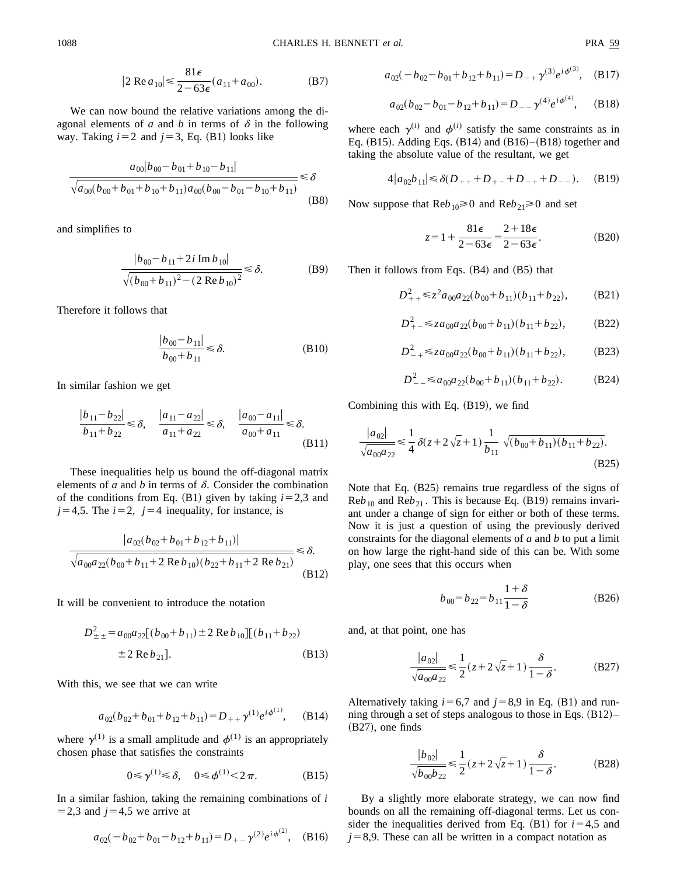$$
|2 \text{ Re } a_{10}| \le \frac{81\epsilon}{2 - 63\epsilon} (a_{11} + a_{00}).
$$
 (B7)

We can now bound the relative variations among the diagonal elements of *a* and *b* in terms of  $\delta$  in the following way. Taking  $i=2$  and  $j=3$ , Eq. (B1) looks like

$$
\frac{a_{00}|b_{00}-b_{01}+b_{10}-b_{11}|}{\sqrt{a_{00}(b_{00}+b_{01}+b_{10}+b_{11})a_{00}(b_{00}-b_{01}-b_{10}+b_{11})}} \leq \delta
$$
\n(B8)

and simplifies to

$$
\frac{|b_{00} - b_{11} + 2i \text{ Im } b_{10}|}{\sqrt{(b_{00} + b_{11})^2 - (2 \text{ Re } b_{10})^2}} \le \delta.
$$
 (B9)

Therefore it follows that

$$
\frac{|b_{00} - b_{11}|}{b_{00} + b_{11}} \le \delta.
$$
 (B10)

In similar fashion we get

$$
\frac{|b_{11} - b_{22}|}{b_{11} + b_{22}} \le \delta, \quad \frac{|a_{11} - a_{22}|}{a_{11} + a_{22}} \le \delta, \quad \frac{|a_{00} - a_{11}|}{a_{00} + a_{11}} \le \delta.
$$
\n(B11)

These inequalities help us bound the off-diagonal matrix elements of  $a$  and  $b$  in terms of  $\delta$ . Consider the combination of the conditions from Eq.  $(B1)$  given by taking  $i=2,3$  and  $j=4,5$ . The  $i=2$ ,  $j=4$  inequality, for instance, is

$$
\frac{|a_{02}(b_{02}+b_{01}+b_{12}+b_{11})|}{\sqrt{a_{00}a_{22}(b_{00}+b_{11}+2\text{ Re }b_{10})(b_{22}+b_{11}+2\text{ Re }b_{21})}} \leq \delta.
$$
\n(B12)

It will be convenient to introduce the notation

$$
D_{\pm\pm}^{2} = a_{00}a_{22}[(b_{00} + b_{11}) \pm 2 \text{ Re } b_{10}][(b_{11} + b_{22})
$$
  

$$
\pm 2 \text{ Re } b_{21}].
$$
 (B13)

With this, we see that we can write

$$
a_{02}(b_{02} + b_{01} + b_{12} + b_{11}) = D_{++} \gamma^{(1)} e^{i \phi^{(1)}}, \quad (B14)
$$

where  $\gamma^{(1)}$  is a small amplitude and  $\phi^{(1)}$  is an appropriately chosen phase that satisfies the constraints

$$
0 \le \gamma^{(1)} \le \delta, \quad 0 \le \phi^{(1)} < 2\pi. \tag{B15}
$$

In a similar fashion, taking the remaining combinations of *i*  $=$  2,3 and  $j=4,5$  we arrive at

$$
a_{02}(-b_{02}+b_{01}-b_{12}+b_{11})=D_{+-}\gamma^{(2)}e^{i\phi^{(2)}}, \quad (B16)
$$

$$
a_{02}(-b_{02}-b_{01}+b_{12}+b_{11})=D_{-+}\gamma^{(3)}e^{i\phi^{(3)}},\quad(B17)
$$

$$
a_{02}(b_{02} - b_{01} - b_{12} + b_{11}) = D_{--} \gamma^{(4)} e^{i \phi^{(4)}}, \quad (B18)
$$

where each  $\gamma^{(i)}$  and  $\phi^{(i)}$  satisfy the same constraints as in Eq.  $(B15)$ . Adding Eqs.  $(B14)$  and  $(B16)$ – $(B18)$  together and taking the absolute value of the resultant, we get

$$
4|a_{02}b_{11}| \le \delta(D_{++} + D_{+-} + D_{-+} + D_{--}).
$$
 (B19)

Now suppose that  $\text{Re}b_{10}\geq 0$  and  $\text{Re}b_{21}\geq 0$  and set

$$
z = 1 + \frac{81\epsilon}{2 - 63\epsilon} = \frac{2 + 18\epsilon}{2 - 63\epsilon}.
$$
 (B20)

Then it follows from Eqs.  $(B4)$  and  $(B5)$  that

$$
D_{++}^2 \le z^2 a_{00} a_{22} (b_{00} + b_{11}) (b_{11} + b_{22}), \tag{B21}
$$

$$
D_{+-}^2 \leq z a_{00} a_{22} (b_{00} + b_{11}) (b_{11} + b_{22}), \tag{B22}
$$

$$
D_{-+}^2 \le z a_{00} a_{22} (b_{00} + b_{11}) (b_{11} + b_{22}), \tag{B23}
$$

$$
D_{--}^2 \le a_{00} a_{22} (b_{00} + b_{11}) (b_{11} + b_{22}).
$$
 (B24)

Combining this with Eq.  $(B19)$ , we find

$$
\frac{|a_{02}|}{\sqrt{a_{00}a_{22}}} \le \frac{1}{4} \delta(z+2\sqrt{z}+1) \frac{1}{b_{11}} \sqrt{(b_{00}+b_{11})(b_{11}+b_{22})}.
$$
\n(B25)

Note that Eq.  $(B25)$  remains true regardless of the signs of  $\text{Re}b_{10}$  and  $\text{Re}b_{21}$ . This is because Eq. (B19) remains invariant under a change of sign for either or both of these terms. Now it is just a question of using the previously derived constraints for the diagonal elements of *a* and *b* to put a limit on how large the right-hand side of this can be. With some play, one sees that this occurs when

$$
b_{00} = b_{22} = b_{11} \frac{1+\delta}{1-\delta}
$$
 (B26)

and, at that point, one has

$$
\frac{|a_{02}|}{\sqrt{a_{00}a_{22}}} \le \frac{1}{2} (z + 2\sqrt{z} + 1) \frac{\delta}{1 - \delta}.
$$
 (B27)

Alternatively taking  $i=6,7$  and  $j=8,9$  in Eq. (B1) and running through a set of steps analogous to those in Eqs.  $(B12)$ –  $(B27)$ , one finds

$$
\frac{|b_{02}|}{\sqrt{b_{00}b_{22}}} \le \frac{1}{2}(z+2\sqrt{z}+1)\frac{\delta}{1-\delta}.
$$
 (B28)

By a slightly more elaborate strategy, we can now find bounds on all the remaining off-diagonal terms. Let us consider the inequalities derived from Eq.  $(B1)$  for  $i=4,5$  and  $j=8.9$ . These can all be written in a compact notation as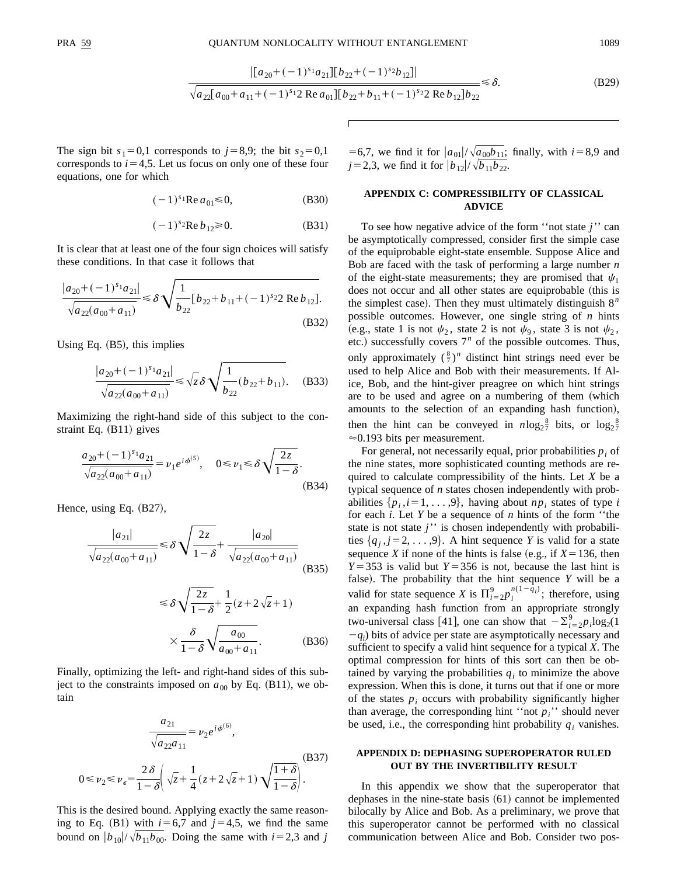$\overline{\Gamma}$ 

The sign bit  $s_1=0,1$  corresponds to  $j=8,9$ ; the bit  $s_2=0,1$ corresponds to  $i=4,5$ . Let us focus on only one of these four equations, one for which

$$
(-1)^{s_1} \text{Re } a_{01} \leq 0, \tag{B30}
$$

$$
(-1)^{s_2} \text{Re } b_{12} \ge 0. \tag{B31}
$$

It is clear that at least one of the four sign choices will satisfy these conditions. In that case it follows that

$$
\frac{|a_{20} + (-1)^{s_1} a_{21}|}{\sqrt{a_{22}(a_{00} + a_{11})}} \le \delta \sqrt{\frac{1}{b_{22}} [b_{22} + b_{11} + (-1)^{s_2} 2 \text{ Re } b_{12}].}
$$
\n(B32)

Using Eq.  $(B5)$ , this implies

$$
\frac{|a_{20} + (-1)^{s_1} a_{21}|}{\sqrt{a_{22}(a_{00} + a_{11})}} \le \sqrt{z} \delta \sqrt{\frac{1}{b_{22}}(b_{22} + b_{11})}.
$$
 (B33)

Maximizing the right-hand side of this subject to the constraint Eq.  $(B11)$  gives

$$
\frac{a_{20} + (-1)^{s_1} a_{21}}{\sqrt{a_{22}(a_{00} + a_{11})}} = \nu_1 e^{i\phi^{(5)}}, \quad 0 \le \nu_1 \le \delta \sqrt{\frac{2z}{1 - \delta}}.
$$
\n(B34)

Hence, using Eq.  $(B27)$ ,

$$
\frac{|a_{21}|}{\sqrt{a_{22}(a_{00} + a_{11})}} \le \delta \sqrt{\frac{2z}{1 - \delta}} + \frac{|a_{20}|}{\sqrt{a_{22}(a_{00} + a_{11})}}
$$
(B35)

$$
\leq \delta \sqrt{\frac{2z}{1-\delta}} + \frac{1}{2}(z+2\sqrt{z}+1)
$$

$$
\times \frac{\delta}{1-\delta} \sqrt{\frac{a_{00}}{a_{00}+a_{11}}}.
$$
(B36)

Finally, optimizing the left- and right-hand sides of this subject to the constraints imposed on  $a_{00}$  by Eq. (B11), we obtain

$$
\frac{a_{21}}{\sqrt{a_{22}a_{11}}} = \nu_2 e^{i\phi^{(6)}},
$$
  

$$
0 \le \nu_2 \le \nu_\epsilon = \frac{2\delta}{1-\delta} \left( \sqrt{z} + \frac{1}{4} (z + 2\sqrt{z} + 1) \sqrt{\frac{1+\delta}{1-\delta}} \right).
$$
 (B37)

This is the desired bound. Applying exactly the same reasoning to Eq.  $(B1)$  with  $i=6,7$  and  $j=4,5$ , we find the same bound on  $|b_{10}|/\sqrt{b_{11}b_{00}}$ . Doing the same with  $i=2,3$  and *j* 

=6,7, we find it for  $|a_{01}|/\sqrt{a_{00}b_{11}}$ ; finally, with *i*=8,9 and  $j=2,3$ , we find it for  $|b_{12}|/\sqrt{b_{11}b_{22}}$ .

# **APPENDIX C: COMPRESSIBILITY OF CLASSICAL ADVICE**

To see how negative advice of the form ''not state *j*'' can be asymptotically compressed, consider first the simple case of the equiprobable eight-state ensemble. Suppose Alice and Bob are faced with the task of performing a large number *n* of the eight-state measurements; they are promised that  $\psi_1$ does not occur and all other states are equiprobable (this is the simplest case). Then they must ultimately distinguish  $8^n$ possible outcomes. However, one single string of *n* hints (e.g., state 1 is not  $\psi_2$ , state 2 is not  $\psi_9$ , state 3 is not  $\psi_2$ , etc.) successfully covers  $7<sup>n</sup>$  of the possible outcomes. Thus, only approximately  $(\frac{8}{7})^n$  distinct hint strings need ever be used to help Alice and Bob with their measurements. If Alice, Bob, and the hint-giver preagree on which hint strings are to be used and agree on a numbering of them (which amounts to the selection of an expanding hash function), then the hint can be conveyed in  $n \log_2 \frac{8}{7}$  bits, or  $\log_2 \frac{8}{7}$  $\approx$  0.193 bits per measurement.

For general, not necessarily equal, prior probabilities  $p_i$  of the nine states, more sophisticated counting methods are required to calculate compressibility of the hints. Let *X* be a typical sequence of *n* states chosen independently with probabilities  $\{p_i, i=1, \ldots, 9\}$ , having about  $np_i$  states of type *i* for each *i*. Let *Y* be a sequence of *n* hints of the form ''the state is not state *j*'' is chosen independently with probabilities  $\{q_j, j=2, \ldots, 9\}$ . A hint sequence *Y* is valid for a state sequence *X* if none of the hints is false (e.g., if  $X=136$ , then  $Y=353$  is valid but  $Y=356$  is not, because the last hint is false). The probability that the hint sequence  $Y$  will be a valid for state sequence *X* is  $\prod_{i=2}^{9} p_i^{n(1-q_i)}$ ; therefore, using an expanding hash function from an appropriate strongly two-universal class [41], one can show that  $-\sum_{i=2}^{9} p_i \log_2(1)$  $-q_i$ ) bits of advice per state are asymptotically necessary and sufficient to specify a valid hint sequence for a typical *X*. The optimal compression for hints of this sort can then be obtained by varying the probabilities  $q_i$  to minimize the above expression. When this is done, it turns out that if one or more of the states  $p_i$  occurs with probability significantly higher than average, the corresponding hint "not  $p_i$ " should never be used, i.e., the corresponding hint probability  $q_i$  vanishes.

## **APPENDIX D: DEPHASING SUPEROPERATOR RULED OUT BY THE INVERTIBILITY RESULT**

In this appendix we show that the superoperator that dephases in the nine-state basis  $(61)$  cannot be implemented bilocally by Alice and Bob. As a preliminary, we prove that this superoperator cannot be performed with no classical communication between Alice and Bob. Consider two pos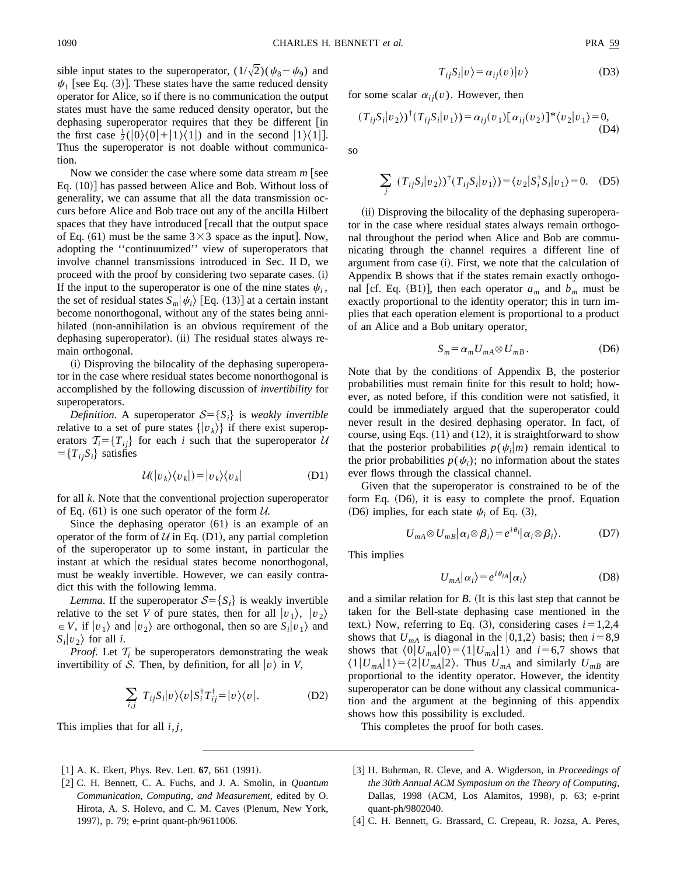sible input states to the superoperator,  $(1/\sqrt{2})(\psi_8 - \psi_9)$  and  $\psi_1$  [see Eq. (3)]. These states have the same reduced density operator for Alice, so if there is no communication the output states must have the same reduced density operator, but the dephasing superoperator requires that they be different [in the first case  $\frac{1}{2}(|0\rangle\langle0|+|1\rangle\langle1|)$  and in the second  $|1\rangle\langle1|$ . Thus the superoperator is not doable without communication.

Now we consider the case where some data stream  $m$  [see Eq.  $(10)$  has passed between Alice and Bob. Without loss of generality, we can assume that all the data transmission occurs before Alice and Bob trace out any of the ancilla Hilbert spaces that they have introduced [recall that the output space of Eq. (61) must be the same  $3\times3$  space as the input]. Now, adopting the ''continuumized'' view of superoperators that involve channel transmissions introduced in Sec. II D, we proceed with the proof by considering two separate cases.  $(i)$ If the input to the superoperator is one of the nine states  $\psi_i$ , the set of residual states  $S_m|\psi_i\rangle$  [Eq. (13)] at a certain instant become nonorthogonal, without any of the states being annihilated (non-annihilation is an obvious requirement of the dephasing superoperator). (ii) The residual states always remain orthogonal.

(i) Disproving the bilocality of the dephasing superoperator in the case where residual states become nonorthogonal is accomplished by the following discussion of *invertibility* for superoperators.

*Definition.* A superoperator  $S = \{S_i\}$  is *weakly invertible* relative to a set of pure states  $\{|v_k\rangle\}$  if there exist superoperators  $\mathcal{T}_i = \{T_{ij}\}\$  for each *i* such that the superoperator *U*  $=\{T_{ij}S_i\}$  satisfies

$$
U(|v_k\rangle\langle v_k|) = |v_k\rangle\langle v_k|
$$
 (D1)

for all *k*. Note that the conventional projection superoperator of Eq.  $(61)$  is one such operator of the form  $U$ .

Since the dephasing operator  $(61)$  is an example of an operator of the form of  $U$  in Eq.  $(D1)$ , any partial completion of the superoperator up to some instant, in particular the instant at which the residual states become nonorthogonal, must be weakly invertible. However, we can easily contradict this with the following lemma.

*Lemma*. If the superoperator  $S = \{S_i\}$  is weakly invertible relative to the set *V* of pure states, then for all  $|v_1\rangle$ ,  $|v_2\rangle$  $\in V$ , if  $|v_1\rangle$  and  $|v_2\rangle$  are orthogonal, then so are  $S_i|v_1\rangle$  and  $S_i|v_2\rangle$  for all *i*.

*Proof.* Let  $T_i$  be superoperators demonstrating the weak invertibility of *S*. Then, by definition, for all  $|v\rangle$  in *V*,

$$
\sum_{i,j} T_{ij} S_i |v\rangle\langle v| S_i^{\dagger} T_{ij}^{\dagger} = |v\rangle\langle v|.
$$
 (D2)

This implies that for all *i*, *j*,

- $[1]$  A. K. Ekert, Phys. Rev. Lett. **67**, 661 (1991).
- [2] C. H. Bennett, C. A. Fuchs, and J. A. Smolin, in *Quantum Communication, Computing, and Measurement*, edited by O. Hirota, A. S. Holevo, and C. M. Caves (Plenum, New York, 1997), p. 79; e-print quant-ph/9611006.

$$
T_{ij}S_i|v\rangle = \alpha_{ij}(v)|v\rangle \tag{D3}
$$

for some scalar  $\alpha_{ii}(v)$ . However, then

$$
(T_{ij}S_i|v_2\rangle)^{\dagger}(T_{ij}S_i|v_1\rangle) = \alpha_{ij}(v_1)[\alpha_{ij}(v_2)]^*\langle v_2|v_1\rangle = 0,
$$
\n(D4)

so

$$
\sum_{j} (T_{ij}S_i|v_2\rangle)^{\dagger} (T_{ij}S_i|v_1\rangle) = \langle v_2|S_i^{\dagger}S_i|v_1\rangle = 0. \quad (D5)
$$

(ii) Disproving the bilocality of the dephasing superoperator in the case where residual states always remain orthogonal throughout the period when Alice and Bob are communicating through the channel requires a different line of argument from case (i). First, we note that the calculation of Appendix B shows that if the states remain exactly orthogonal [cf. Eq.  $(B1)$ ], then each operator  $a_m$  and  $b_m$  must be exactly proportional to the identity operator; this in turn implies that each operation element is proportional to a product of an Alice and a Bob unitary operator,

$$
S_m = \alpha_m U_{mA} \otimes U_{mB} \,. \tag{D6}
$$

Note that by the conditions of Appendix B, the posterior probabilities must remain finite for this result to hold; however, as noted before, if this condition were not satisfied, it could be immediately argued that the superoperator could never result in the desired dephasing operator. In fact, of course, using Eqs.  $(11)$  and  $(12)$ , it is straightforward to show that the posterior probabilities  $p(\psi_i|m)$  remain identical to the prior probabilities  $p(\psi_i)$ ; no information about the states ever flows through the classical channel.

Given that the superoperator is constrained to be of the form Eq.  $(D6)$ , it is easy to complete the proof. Equation (D6) implies, for each state  $\psi_i$  of Eq. (3),

$$
U_{mA} \otimes U_{mB} | \alpha_i \otimes \beta_i \rangle = e^{i \theta_i} | \alpha_i \otimes \beta_i \rangle. \tag{D7}
$$

This implies

$$
U_{mA}|\alpha_i\rangle = e^{i\theta_{iA}}|\alpha_i\rangle \tag{D8}
$$

and a similar relation for  $B$ . (It is this last step that cannot be taken for the Bell-state dephasing case mentioned in the text.) Now, referring to Eq.  $(3)$ , considering cases  $i=1,2,4$ shows that  $U_{mA}$  is diagonal in the  $|0,1,2\rangle$  basis; then  $i=8,9$ shows that  $\langle 0|U_{mA}|0\rangle = \langle 1|U_{mA}|1\rangle$  and  $i=6,7$  shows that  $\langle 1|U_{mA}|1\rangle = \langle 2|U_{mA}|2\rangle$ . Thus  $U_{mA}$  and similarly  $U_{mB}$  are proportional to the identity operator. However, the identity superoperator can be done without any classical communication and the argument at the beginning of this appendix shows how this possibility is excluded.

This completes the proof for both cases.

- [3] H. Buhrman, R. Cleve, and A. Wigderson, in *Proceedings of the 30th Annual ACM Symposium on the Theory of Computing*, Dallas, 1998 (ACM, Los Alamitos, 1998), p. 63; e-print quant-ph/9802040.
- [4] C. H. Bennett, G. Brassard, C. Crepeau, R. Jozsa, A. Peres,